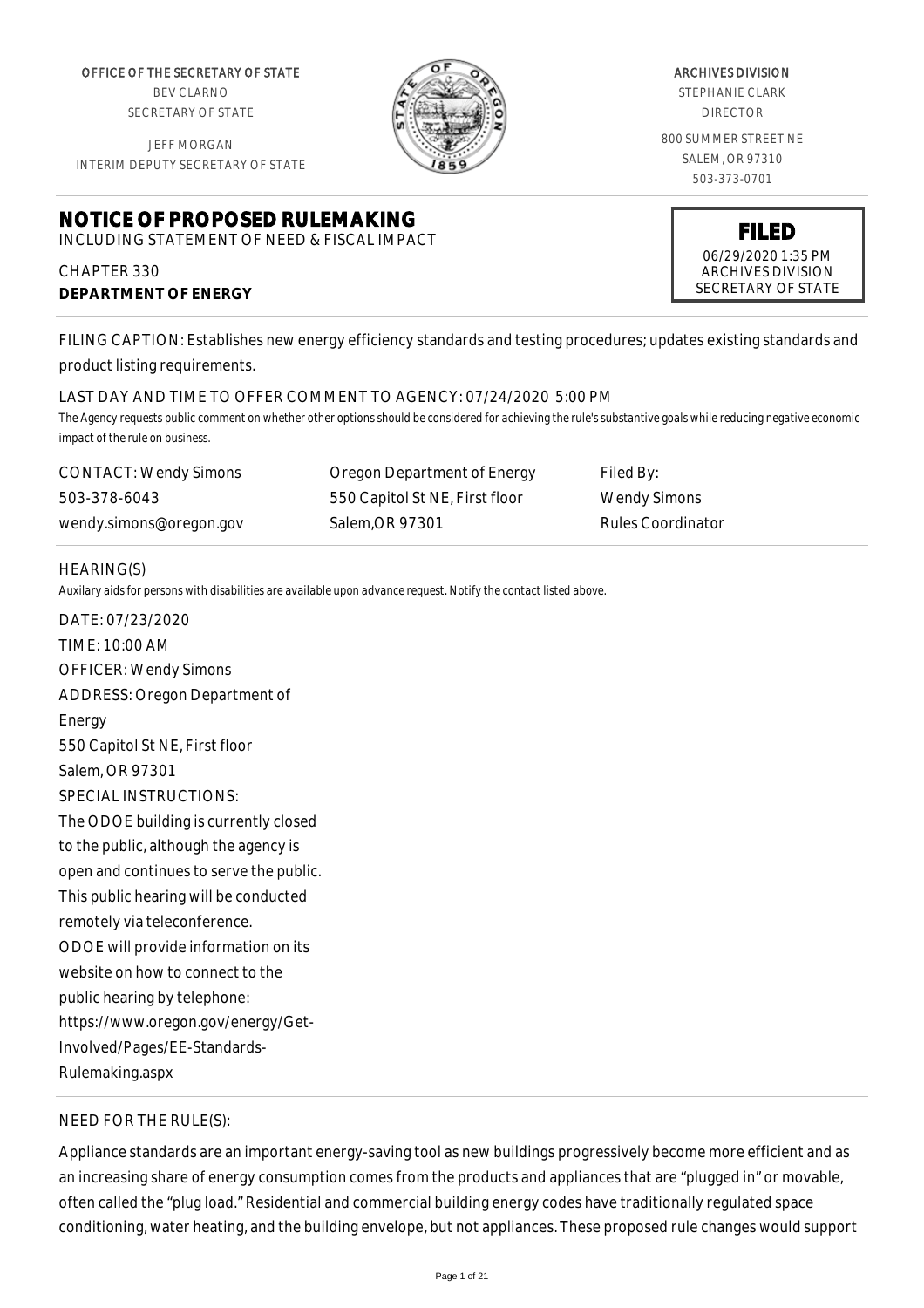OFFICE OF THE SECRETARY OF STATE BEV CLARNO SECRETARY OF STATE

JEFF MORGAN INTERIM DEPUTY SECRETARY OF STATE

## **NOTICE OF PROPOSED RULEMAKING** INCLUDING STATEMENT OF NEED & FISCAL IMPACT

# CHAPTER 330 **DEPARTMENT OF ENERGY**



ARCHIVES DIVISION STEPHANIE CLARK DIRECTOR 800 SUMMER STREET NE SALEM, OR 97310

503-373-0701

**FILED** 06/29/2020 1:35 PM ARCHIVES DIVISION SECRETARY OF STATE

FILING CAPTION: Establishes new energy efficiency standards and testing procedures; updates existing standards and product listing requirements.

## LAST DAY AND TIME TO OFFER COMMENT TO AGENCY: 07/24/2020 5:00 PM

*The Agency requests public comment on whether other options should be considered for achieving the rule's substantive goals while reducing negative economic impact of the rule on business.*

| CONTACT: Wendy Simons   | Oregon Department of Energy    | Filed By:                |
|-------------------------|--------------------------------|--------------------------|
| 503-378-6043            | 550 Capitol St NE, First floor | Wendy Simons             |
| wendy.simons@oregon.gov | Salem.OR 97301                 | <b>Rules Coordinator</b> |

## HEARING(S)

*Auxilary aids for persons with disabilities are available upon advance request. Notify the contact listed above.*

DATE: 07/23/2020 TIME: 10:00 AM OFFICER: Wendy Simons ADDRESS: Oregon Department of Energy 550 Capitol St NE, First floor Salem, OR 97301 SPECIAL INSTRUCTIONS: The ODOE building is currently closed to the public, although the agency is open and continues to serve the public. This public hearing will be conducted remotely via teleconference. ODOE will provide information on its website on how to connect to the public hearing by telephone: https://www.oregon.gov/energy/Get-Involved/Pages/EE-Standards-Rulemaking.aspx

# NEED FOR THE RULE(S):

Appliance standards are an important energy-saving tool as new buildings progressively become more efficient and as an increasing share of energy consumption comes from the products and appliances that are "plugged in" or movable, often called the "plug load." Residential and commercial building energy codes have traditionally regulated space conditioning, water heating, and the building envelope, but not appliances. These proposed rule changes would support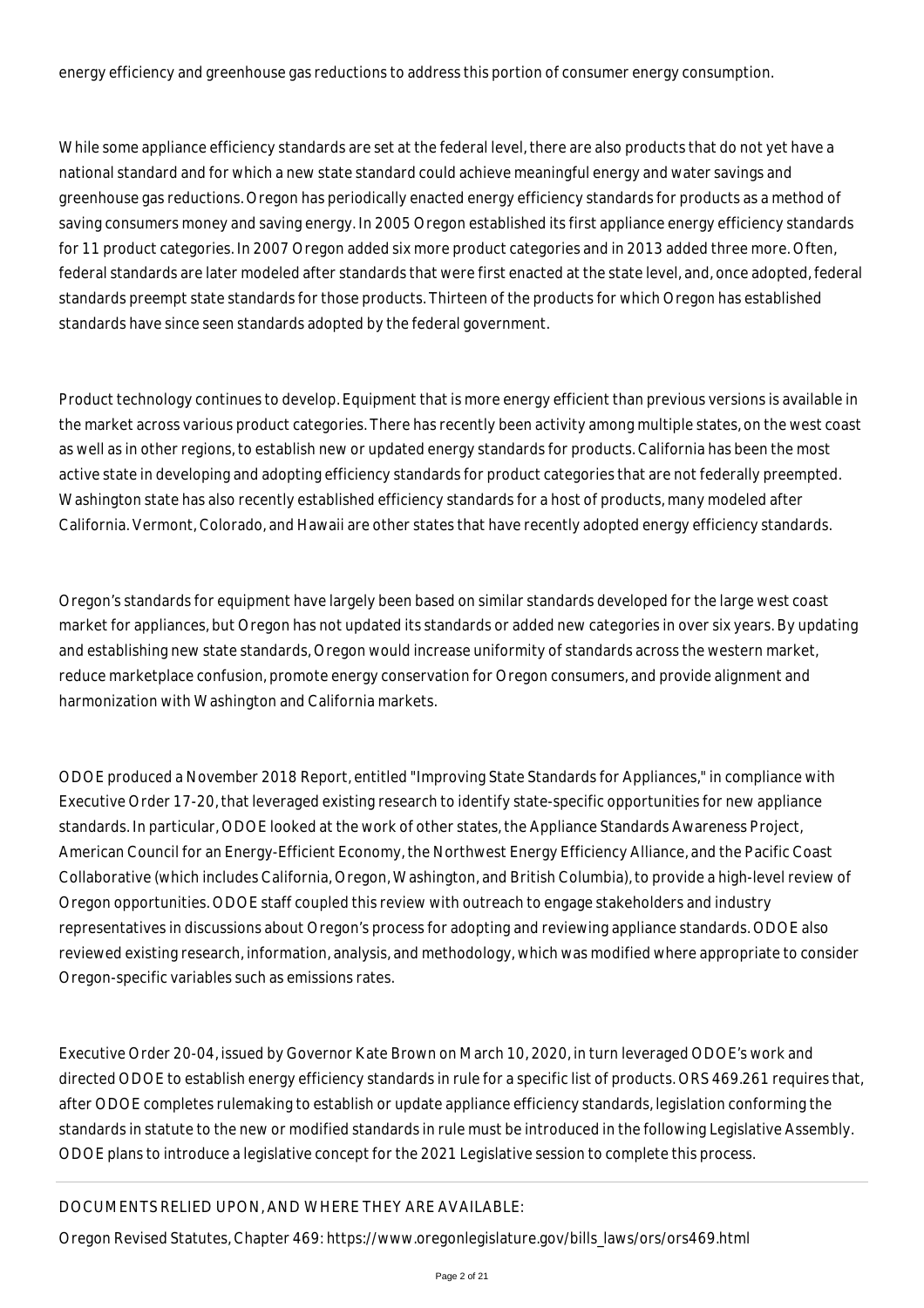energy efficiency and greenhouse gas reductions to address this portion of consumer energy consumption.

While some appliance efficiency standards are set at the federal level, there are also products that do not yet have a national standard and for which a new state standard could achieve meaningful energy and water savings and greenhouse gas reductions. Oregon has periodically enacted energy efficiency standards for products as a method of saving consumers money and saving energy. In 2005 Oregon established its first appliance energy efficiency standards for 11 product categories. In 2007 Oregon added six more product categories and in 2013 added three more. Often, federal standards are later modeled after standards that were first enacted at the state level, and, once adopted, federal standards preempt state standards for those products. Thirteen of the products for which Oregon has established standards have since seen standards adopted by the federal government.

Product technology continues to develop. Equipment that is more energy efficient than previous versions is available in the market across various product categories. There has recently been activity among multiple states, on the west coast as well as in other regions, to establish new or updated energy standards for products. California has been the most active state in developing and adopting efficiency standards for product categories that are not federally preempted. Washington state has also recently established efficiency standards for a host of products, many modeled after California. Vermont, Colorado, and Hawaii are other states that have recently adopted energy efficiency standards.

Oregon's standards for equipment have largely been based on similar standards developed for the large west coast market for appliances, but Oregon has not updated its standards or added new categories in over six years. By updating and establishing new state standards, Oregon would increase uniformity of standards across the western market, reduce marketplace confusion, promote energy conservation for Oregon consumers, and provide alignment and harmonization with Washington and California markets.

ODOE produced a November 2018 Report, entitled "Improving State Standards for Appliances," in compliance with Executive Order 17-20, that leveraged existing research to identify state-specific opportunities for new appliance standards. In particular, ODOE looked at the work of other states, the Appliance Standards Awareness Project, American Council for an Energy-Efficient Economy, the Northwest Energy Efficiency Alliance, and the Pacific Coast Collaborative (which includes California, Oregon, Washington, and British Columbia), to provide a high-level review of Oregon opportunities. ODOE staff coupled this review with outreach to engage stakeholders and industry representatives in discussions about Oregon's process for adopting and reviewing appliance standards. ODOE also reviewed existing research, information, analysis, and methodology, which was modified where appropriate to consider Oregon-specific variables such as emissions rates.

Executive Order 20-04, issued by Governor Kate Brown on March 10, 2020, in turn leveraged ODOE's work and directed ODOE to establish energy efficiency standards in rule for a specific list of products. ORS 469.261 requires that, after ODOE completes rulemaking to establish or update appliance efficiency standards, legislation conforming the standards in statute to the new or modified standards in rule must be introduced in the following Legislative Assembly. ODOE plans to introduce a legislative concept for the 2021 Legislative session to complete this process.

## DOCUMENTS RELIED UPON, AND WHERE THEY ARE AVAILABLE:

Oregon Revised Statutes, Chapter 469: https://www.oregonlegislature.gov/bills\_laws/ors/ors469.html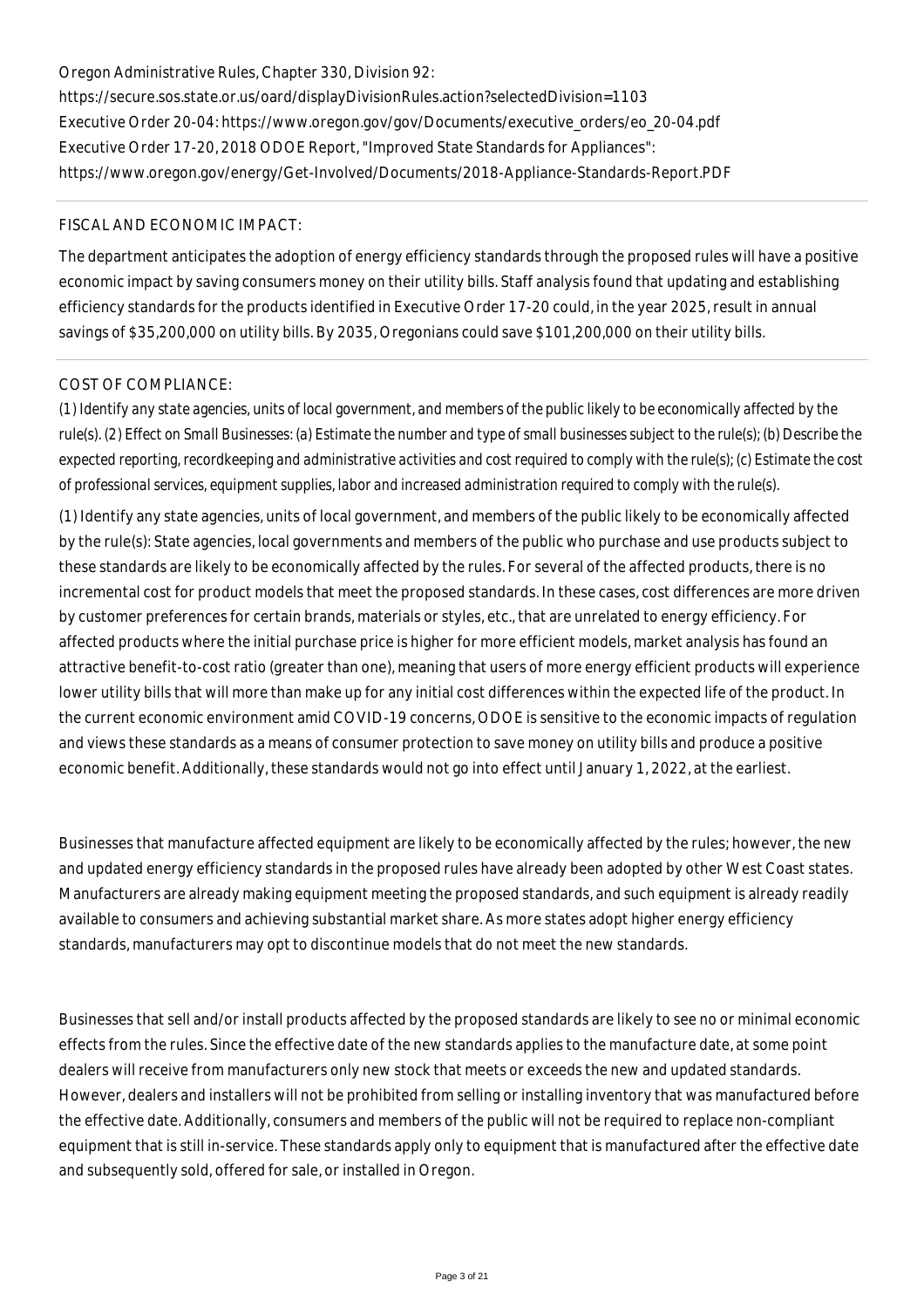# Oregon Administrative Rules, Chapter 330, Division 92: https://secure.sos.state.or.us/oard/displayDivisionRules.action?selectedDivision=1103 Executive Order 20-04: https://www.oregon.gov/gov/Documents/executive\_orders/eo\_20-04.pdf Executive Order 17-20, 2018 ODOE Report, "Improved State Standards for Appliances": https://www.oregon.gov/energy/Get-Involved/Documents/2018-Appliance-Standards-Report.PDF

## FISCAL AND ECONOMIC IMPACT:

The department anticipates the adoption of energy efficiency standards through the proposed rules will have a positive economic impact by saving consumers money on their utility bills. Staff analysis found that updating and establishing efficiency standards for the products identified in Executive Order 17-20 could, in the year 2025, result in annual savings of \$35,200,000 on utility bills. By 2035, Oregonians could save \$101,200,000 on their utility bills.

#### COST OF COMPLIANCE:

*(1) Identify any state agencies, units of local government, and members of the public likely to be economically affected by the rule(s). (2) Effect on Small Businesses: (a) Estimate the number and type of small businesses subject to the rule(s); (b) Describe the expected reporting, recordkeeping and administrative activities and cost required to comply with the rule(s); (c) Estimate the cost of professional services, equipment supplies, labor and increased administration required to comply with the rule(s).*

(1) Identify any state agencies, units of local government, and members of the public likely to be economically affected by the rule(s): State agencies, local governments and members of the public who purchase and use products subject to these standards are likely to be economically affected by the rules. For several of the affected products, there is no incremental cost for product models that meet the proposed standards. In these cases, cost differences are more driven by customer preferences for certain brands, materials or styles, etc., that are unrelated to energy efficiency. For affected products where the initial purchase price is higher for more efficient models, market analysis has found an attractive benefit-to-cost ratio (greater than one), meaning that users of more energy efficient products will experience lower utility bills that will more than make up for any initial cost differences within the expected life of the product. In the current economic environment amid COVID-19 concerns, ODOE is sensitive to the economic impacts of regulation and views these standards as a means of consumer protection to save money on utility bills and produce a positive economic benefit. Additionally, these standards would not go into effect until January 1, 2022, at the earliest.

Businesses that manufacture affected equipment are likely to be economically affected by the rules; however, the new and updated energy efficiency standards in the proposed rules have already been adopted by other West Coast states. Manufacturers are already making equipment meeting the proposed standards, and such equipment is already readily available to consumers and achieving substantial market share. As more states adopt higher energy efficiency standards, manufacturers may opt to discontinue models that do not meet the new standards.

Businesses that sell and/or install products affected by the proposed standards are likely to see no or minimal economic effects from the rules. Since the effective date of the new standards applies to the manufacture date, at some point dealers will receive from manufacturers only new stock that meets or exceeds the new and updated standards. However, dealers and installers will not be prohibited from selling or installing inventory that was manufactured before the effective date. Additionally, consumers and members of the public will not be required to replace non-compliant equipment that is still in-service. These standards apply only to equipment that is manufactured after the effective date and subsequently sold, offered for sale, or installed in Oregon.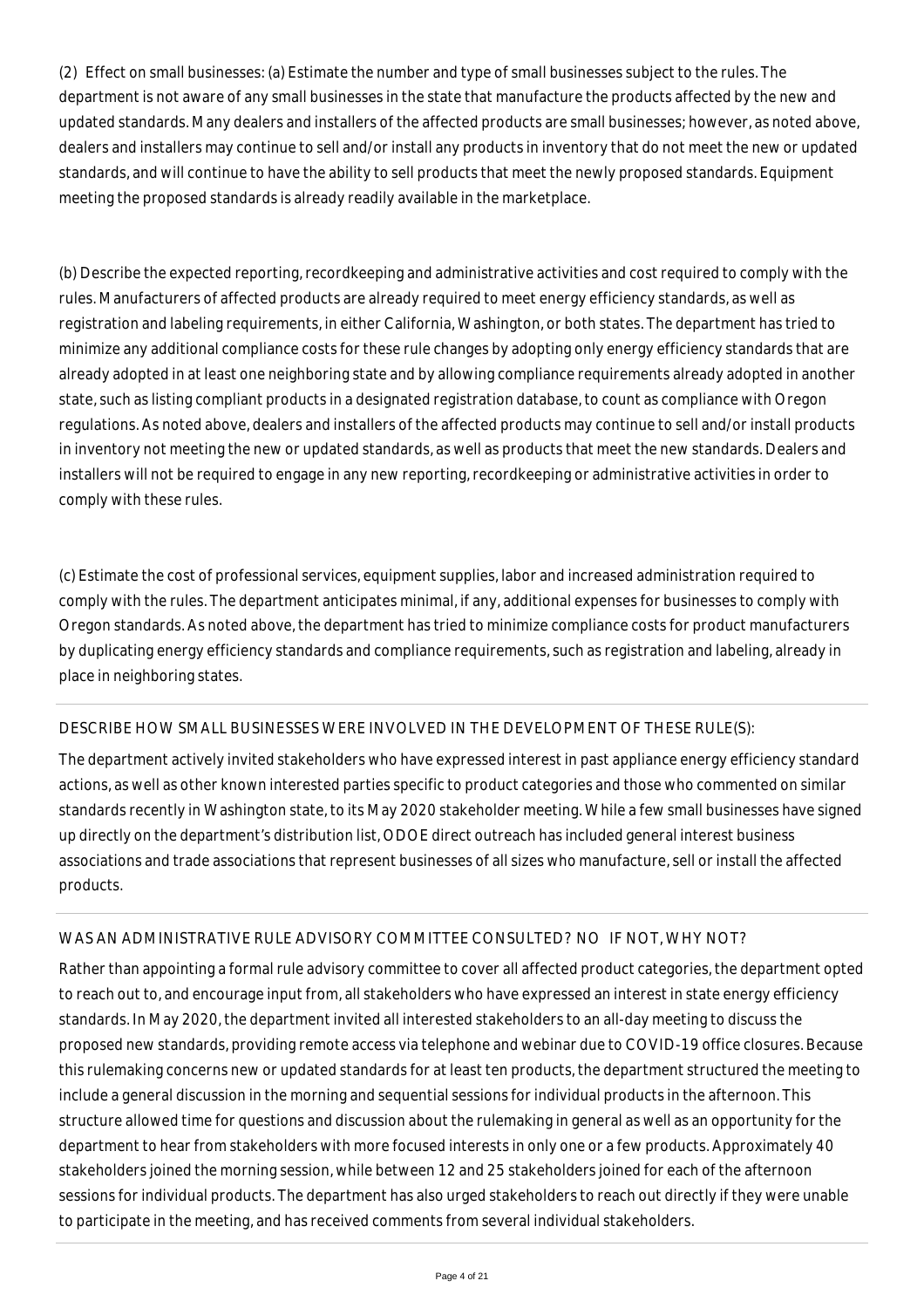(2) Effect on small businesses: (a) Estimate the number and type of small businesses subject to the rules. The department is not aware of any small businesses in the state that manufacture the products affected by the new and updated standards. Many dealers and installers of the affected products are small businesses; however, as noted above, dealers and installers may continue to sell and/or install any products in inventory that do not meet the new or updated standards, and will continue to have the ability to sell products that meet the newly proposed standards. Equipment meeting the proposed standards is already readily available in the marketplace.

(b) Describe the expected reporting, recordkeeping and administrative activities and cost required to comply with the rules. Manufacturers of affected products are already required to meet energy efficiency standards, as well as registration and labeling requirements, in either California, Washington, or both states. The department has tried to minimize any additional compliance costs for these rule changes by adopting only energy efficiency standards that are already adopted in at least one neighboring state and by allowing compliance requirements already adopted in another state, such as listing compliant products in a designated registration database, to count as compliance with Oregon regulations. As noted above, dealers and installers of the affected products may continue to sell and/or install products in inventory not meeting the new or updated standards, as well as products that meet the new standards. Dealers and installers will not be required to engage in any new reporting, recordkeeping or administrative activities in order to comply with these rules.

(c) Estimate the cost of professional services, equipment supplies, labor and increased administration required to comply with the rules. The department anticipates minimal, if any, additional expenses for businesses to comply with Oregon standards. As noted above, the department has tried to minimize compliance costs for product manufacturers by duplicating energy efficiency standards and compliance requirements, such as registration and labeling, already in place in neighboring states.

## DESCRIBE HOW SMALL BUSINESSES WERE INVOLVED IN THE DEVELOPMENT OF THESE RULE(S):

The department actively invited stakeholders who have expressed interest in past appliance energy efficiency standard actions, as well as other known interested parties specific to product categories and those who commented on similar standards recently in Washington state, to its May 2020 stakeholder meeting. While a few small businesses have signed up directly on the department's distribution list, ODOE direct outreach has included general interest business associations and trade associations that represent businesses of all sizes who manufacture, sell or install the affected products.

## WAS AN ADMINISTRATIVE RULE ADVISORY COMMITTEE CONSULTED? NO IF NOT, WHY NOT?

Rather than appointing a formal rule advisory committee to cover all affected product categories, the department opted to reach out to, and encourage input from, all stakeholders who have expressed an interest in state energy efficiency standards. In May 2020, the department invited all interested stakeholders to an all-day meeting to discuss the proposed new standards, providing remote access via telephone and webinar due to COVID-19 office closures. Because this rulemaking concerns new or updated standards for at least ten products, the department structured the meeting to include a general discussion in the morning and sequential sessions for individual products in the afternoon. This structure allowed time for questions and discussion about the rulemaking in general as well as an opportunity for the department to hear from stakeholders with more focused interests in only one or a few products. Approximately 40 stakeholders joined the morning session, while between 12 and 25 stakeholders joined for each of the afternoon sessions for individual products. The department has also urged stakeholders to reach out directly if they were unable to participate in the meeting, and has received comments from several individual stakeholders.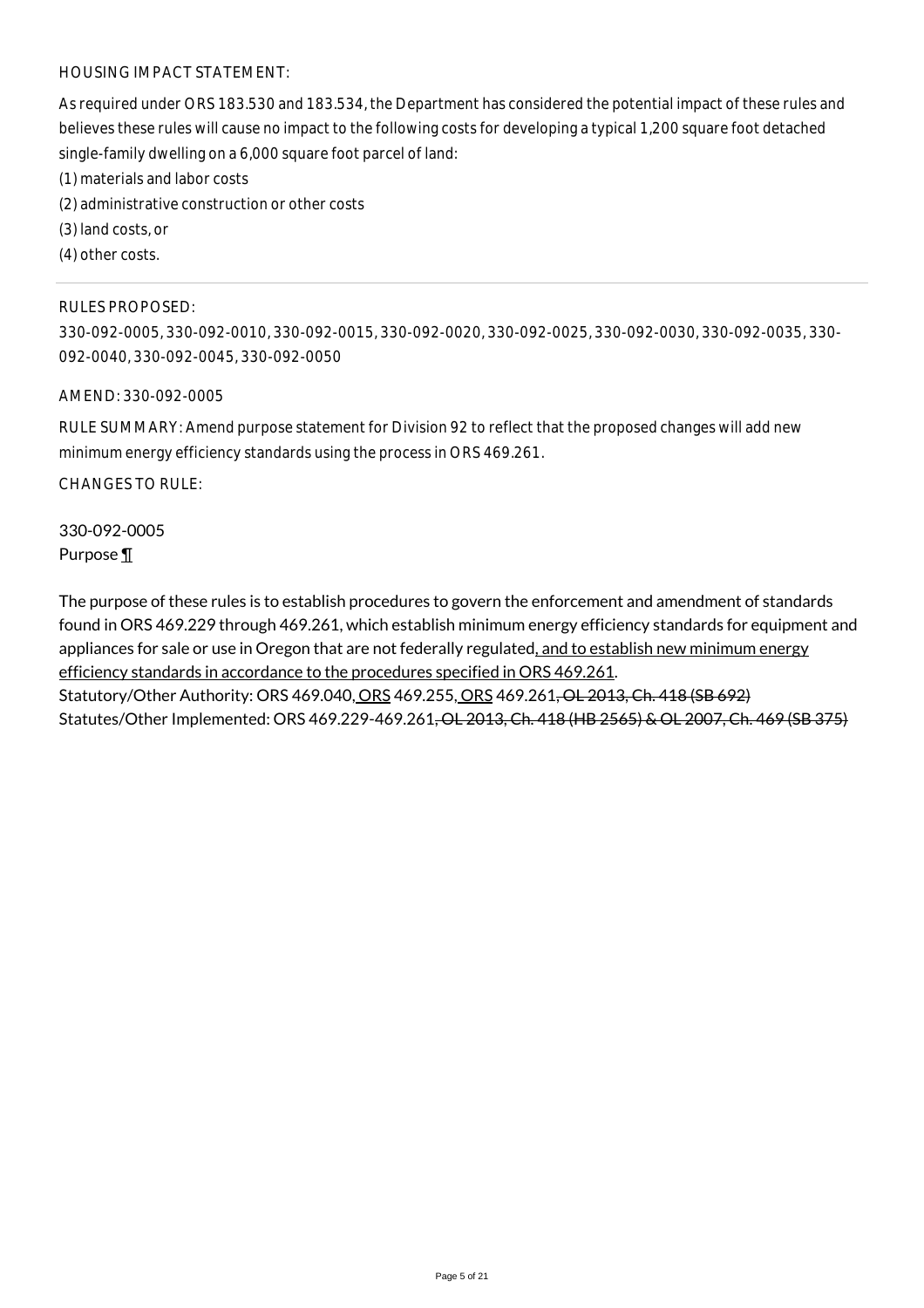## HOUSING IMPACT STATEMENT:

As required under ORS 183.530 and 183.534, the Department has considered the potential impact of these rules and believes these rules will cause no impact to the following costs for developing a typical 1,200 square foot detached single-family dwelling on a 6,000 square foot parcel of land:

- (1) materials and labor costs
- (2) administrative construction or other costs
- (3) land costs, or
- (4) other costs.

#### RULES PROPOSED:

330-092-0005, 330-092-0010, 330-092-0015, 330-092-0020, 330-092-0025, 330-092-0030, 330-092-0035, 330- 092-0040, 330-092-0045, 330-092-0050

#### AMEND: 330-092-0005

RULE SUMMARY: Amend purpose statement for Division 92 to reflect that the proposed changes will add new minimum energy efficiency standards using the process in ORS 469.261.

CHANGES TO RULE:

330-092-0005 Purpose ¶

The purpose of these rules is to establish procedures to govern the enforcement and amendment of standards found in ORS 469.229 through 469.261, which establish minimum energy efficiency standards for equipment and appliances for sale or use in Oregon that are not federally regulated, and to establish new minimum energy efficiency standards in accordance to the procedures specified in ORS 469.261. Statutory/Other Authority: ORS 469.040, ORS 469.255, ORS 469.261, OL 2013, Ch. 418 (SB 692) Statutes/Other Implemented: ORS 469.229-469.261, OL 2013, Ch. 418 (HB 2565) & OL 2007, Ch. 469 (SB 375)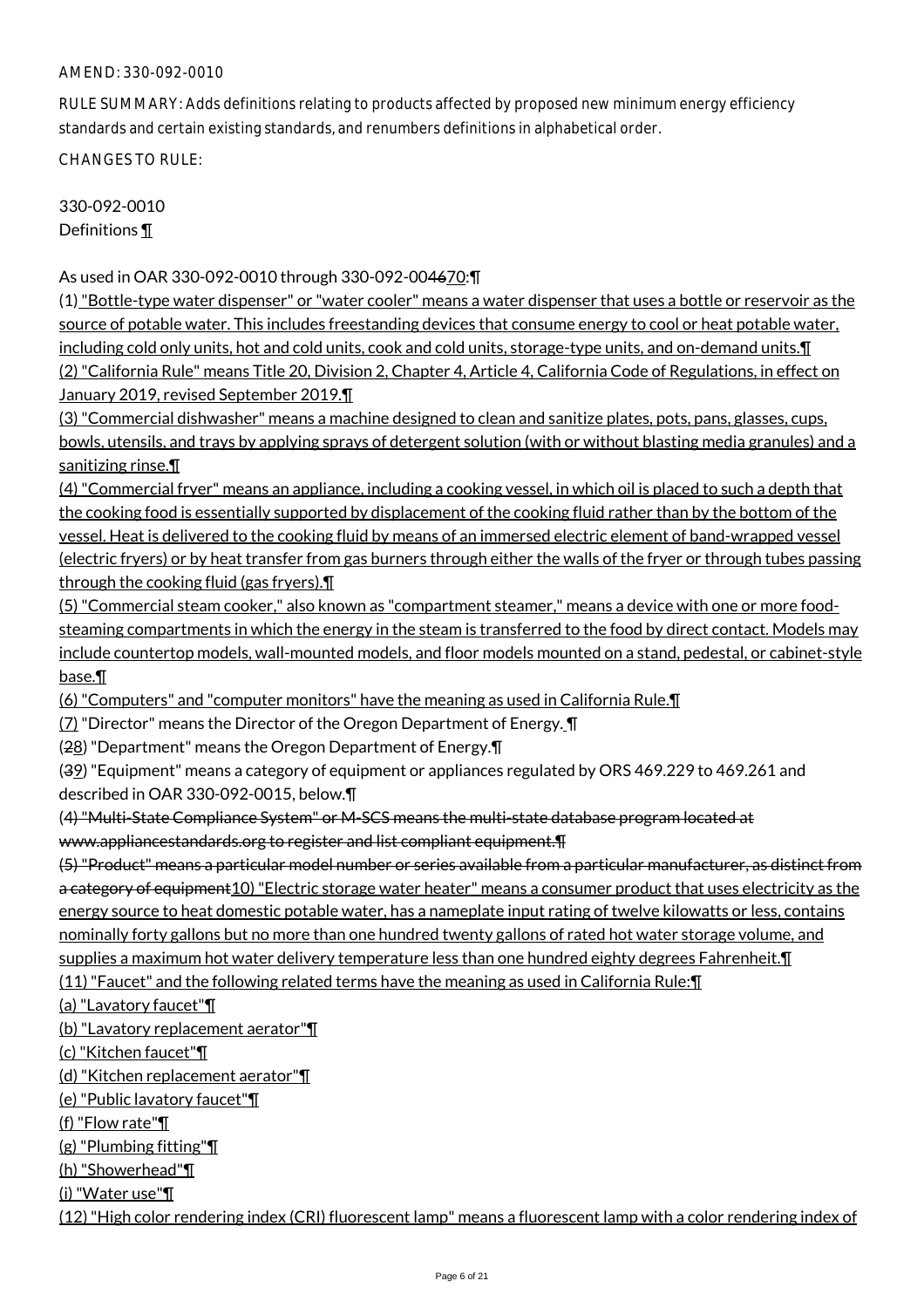RULE SUMMARY: Adds definitions relating to products affected by proposed new minimum energy efficiency standards and certain existing standards, and renumbers definitions in alphabetical order.

CHANGES TO RULE:

330-092-0010 Definitions ¶

As used in OAR 330-092-0010 through 330-092-004670:¶

(1) "Bottle-type water dispenser" or "water cooler" means a water dispenser that uses a bottle or reservoir as the source of potable water. This includes freestanding devices that consume energy to cool or heat potable water, including cold only units, hot and cold units, cook and cold units, storage-type units, and on-demand units.¶ (2) "California Rule" means Title 20, Division 2, Chapter 4, Article 4, California Code of Regulations, in effect on January 2019, revised September 2019.¶

(3) "Commercial dishwasher" means a machine designed to clean and sanitize plates, pots, pans, glasses, cups, bowls, utensils, and trays by applying sprays of detergent solution (with or without blasting media granules) and a sanitizing rinse.¶

(4) "Commercial fryer" means an appliance, including a cooking vessel, in which oil is placed to such a depth that the cooking food is essentially supported by displacement of the cooking fluid rather than by the bottom of the vessel. Heat is delivered to the cooking fluid by means of an immersed electric element of band-wrapped vessel (electric fryers) or by heat transfer from gas burners through either the walls of the fryer or through tubes passing through the cooking fluid (gas fryers).¶

(5) "Commercial steam cooker," also known as "compartment steamer," means a device with one or more foodsteaming compartments in which the energy in the steam is transferred to the food by direct contact. Models may include countertop models, wall-mounted models, and floor models mounted on a stand, pedestal, or cabinet-style base.¶

(6) "Computers" and "computer monitors" have the meaning as used in California Rule.¶

(7) "Director" means the Director of the Oregon Department of Energy. ¶

(28) "Department" means the Oregon Department of Energy.¶

(39) "Equipment" means a category of equipment or appliances regulated by ORS 469.229 to 469.261 and described in OAR 330-092-0015, below.¶

(4) "Multi-State Compliance System" or M-SCS means the multi-state database program located at www.appliancestandards.org to register and list compliant equipment.¶

(5) "Product" means a particular model number or series available from a particular manufacturer, as distinct from a category of equipment10) "Electric storage water heater" means a consumer product that uses electricity as the energy source to heat domestic potable water, has a nameplate input rating of twelve kilowatts or less, contains nominally forty gallons but no more than one hundred twenty gallons of rated hot water storage volume, and supplies a maximum hot water delivery temperature less than one hundred eighty degrees Fahrenheit. I

(11) "Faucet" and the following related terms have the meaning as used in California Rule:¶

(a) "Lavatory faucet"¶

(b) "Lavatory replacement aerator"¶

(c) "Kitchen faucet"¶

(d) "Kitchen replacement aerator"¶

(e) "Public lavatory faucet"¶

(f) "Flow rate"¶

(g) "Plumbing fitting"¶

(h) "Showerhead"¶

(i) "Water use"¶

(12) "High color rendering index (CRI) fluorescent lamp" means a fluorescent lamp with a color rendering index of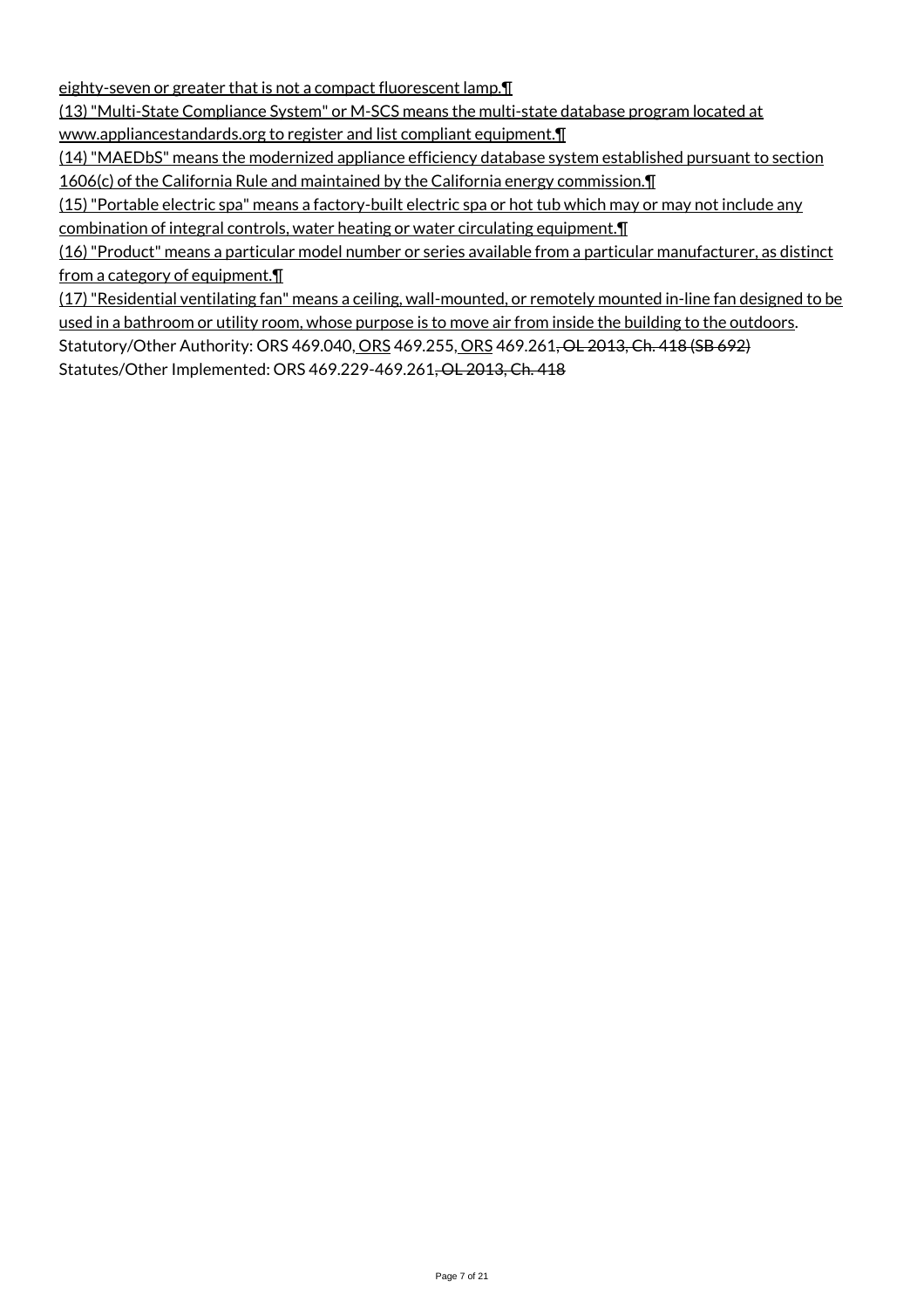eighty-seven or greater that is not a compact fluorescent lamp.¶

(13) "Multi-State Compliance System" or M-SCS means the multi-state database program located at

www.appliancestandards.org to register and list compliant equipment.

(14) "MAEDbS" means the modernized appliance efficiency database system established pursuant to section 1606(c) of the California Rule and maintained by the California energy commission.¶

(15) "Portable electric spa" means a factory-built electric spa or hot tub which may or may not include any combination of integral controls, water heating or water circulating equipment.¶

(16) "Product" means a particular model number or series available from a particular manufacturer, as distinct from a category of equipment.

(17) "Residential ventilating fan" means a ceiling, wall-mounted, or remotely mounted in-line fan designed to be used in a bathroom or utility room, whose purpose is to move air from inside the building to the outdoors. Statutory/Other Authority: ORS 469.040, ORS 469.255, ORS 469.261, OL 2013, Ch. 418 (SB 692) Statutes/Other Implemented: ORS 469.229-469.261, OL 2013, Ch. 418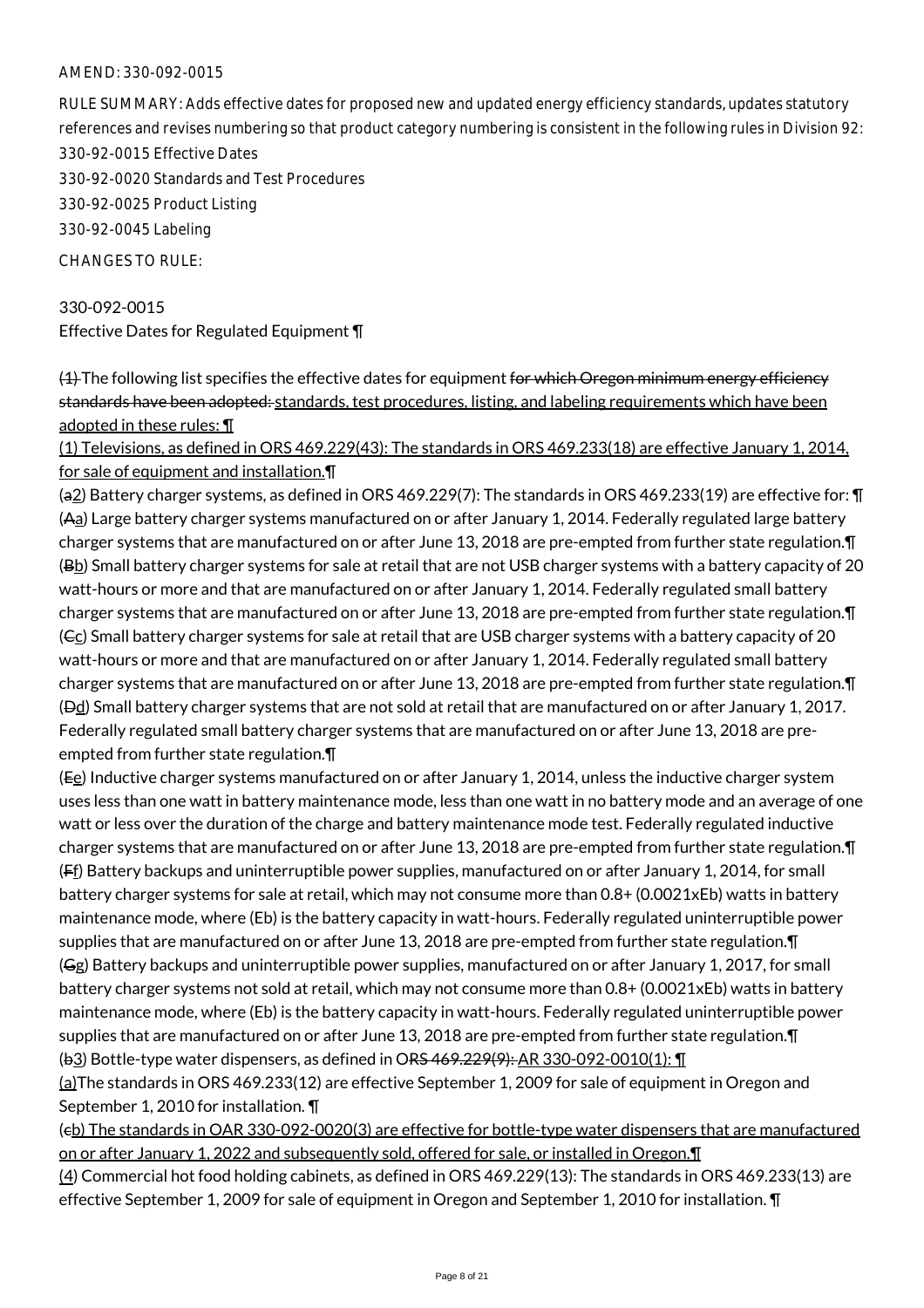RULE SUMMARY: Adds effective dates for proposed new and updated energy efficiency standards, updates statutory references and revises numbering so that product category numbering is consistent in the following rules in Division 92: 330-92-0015 Effective Dates 330-92-0020 Standards and Test Procedures 330-92-0025 Product Listing 330-92-0045 Labeling CHANGES TO RULE:

330-092-0015 Effective Dates for Regulated Equipment ¶

 $(4)$  The following list specifies the effective dates for equipment for which Oregon minimum energy efficiency standards have been adopted: standards, test procedures, listing, and labeling requirements which have been adopted in these rules: ¶

(1) Televisions, as defined in ORS 469.229(43): The standards in ORS 469.233(18) are effective January 1, 2014, for sale of equipment and installation.¶

(a2) Battery charger systems, as defined in ORS 469.229(7): The standards in ORS 469.233(19) are effective for: ¶ (Aa) Large battery charger systems manufactured on or after January 1, 2014. Federally regulated large battery charger systems that are manufactured on or after June 13, 2018 are pre-empted from further state regulation.¶ (Bb) Small battery charger systems for sale at retail that are not USB charger systems with a battery capacity of 20 watt-hours or more and that are manufactured on or after January 1, 2014. Federally regulated small battery charger systems that are manufactured on or after June 13, 2018 are pre-empted from further state regulation.¶ (Ec) Small battery charger systems for sale at retail that are USB charger systems with a battery capacity of 20 watt-hours or more and that are manufactured on or after January 1, 2014. Federally regulated small battery charger systems that are manufactured on or after June 13, 2018 are pre-empted from further state regulation.¶ (Dd) Small battery charger systems that are not sold at retail that are manufactured on or after January 1, 2017. Federally regulated small battery charger systems that are manufactured on or after June 13, 2018 are preempted from further state regulation.¶

(Ee) Inductive charger systems manufactured on or after January 1, 2014, unless the inductive charger system uses less than one watt in battery maintenance mode, less than one watt in no battery mode and an average of one watt or less over the duration of the charge and battery maintenance mode test. Federally regulated inductive charger systems that are manufactured on or after June 13, 2018 are pre-empted from further state regulation.¶ (Ff) Battery backups and uninterruptible power supplies, manufactured on or after January 1, 2014, for small battery charger systems for sale at retail, which may not consume more than 0.8+ (0.0021xEb) watts in battery maintenance mode, where (Eb) is the battery capacity in watt-hours. Federally regulated uninterruptible power supplies that are manufactured on or after June 13, 2018 are pre-empted from further state regulation. T (Gg) Battery backups and uninterruptible power supplies, manufactured on or after January 1, 2017, for small battery charger systems not sold at retail, which may not consume more than 0.8+ (0.0021xEb) watts in battery maintenance mode, where (Eb) is the battery capacity in watt-hours. Federally regulated uninterruptible power supplies that are manufactured on or after June 13, 2018 are pre-empted from further state regulation.¶ (b3) Bottle-type water dispensers, as defined in ORS 469.229(9): AR 330-092-0010(1): ¶

(a)The standards in ORS 469.233(12) are effective September 1, 2009 for sale of equipment in Oregon and September 1, 2010 for installation. ¶

(cb) The standards in OAR 330-092-0020(3) are effective for bottle-type water dispensers that are manufactured on or after January 1, 2022 and subsequently sold, offered for sale, or installed in Oregon.¶

(4) Commercial hot food holding cabinets, as defined in ORS 469.229(13): The standards in ORS 469.233(13) are effective September 1, 2009 for sale of equipment in Oregon and September 1, 2010 for installation. ¶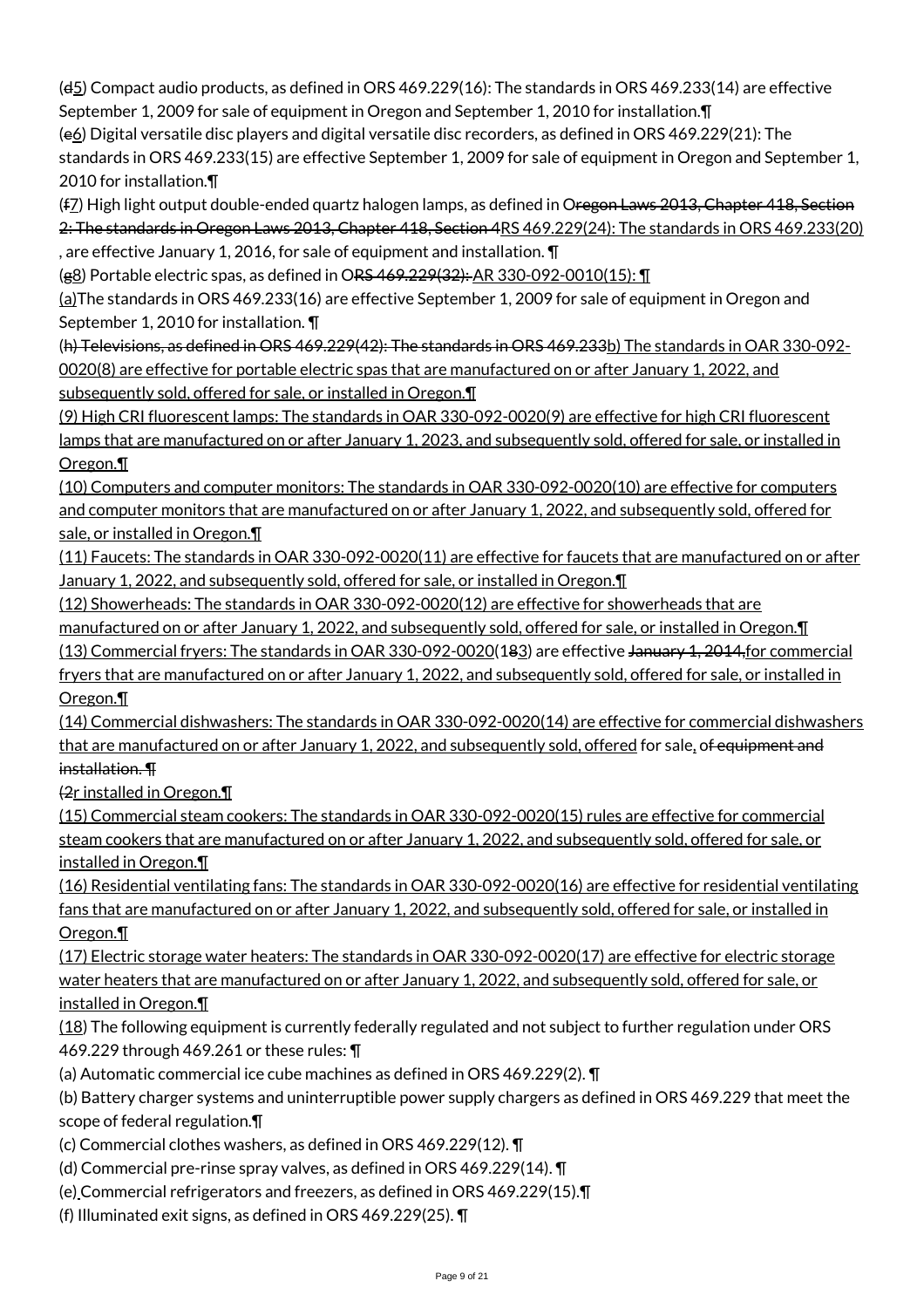$(d_5)$  Compact audio products, as defined in ORS 469.229(16): The standards in ORS 469.233(14) are effective September 1, 2009 for sale of equipment in Oregon and September 1, 2010 for installation.¶

(e6) Digital versatile disc players and digital versatile disc recorders, as defined in ORS 469.229(21): The standards in ORS 469.233(15) are effective September 1, 2009 for sale of equipment in Oregon and September 1, 2010 for installation.¶

(f7) High light output double-ended quartz halogen lamps, as defined in Oregon Laws 2013, Chapter 418, Section 2: The standards in Oregon Laws 2013, Chapter 418, Section 4RS 469.229(24): The standards in ORS 469.233(20) , are effective January 1, 2016, for sale of equipment and installation. ¶

(g8) Portable electric spas, as defined in ORS 469.229(32): AR 330-092-0010(15): 1

(a)The standards in ORS 469.233(16) are effective September 1, 2009 for sale of equipment in Oregon and September 1, 2010 for installation. ¶

(h) Televisions, as defined in ORS 469.229(42): The standards in ORS 469.233b) The standards in OAR 330-092- 0020(8) are effective for portable electric spas that are manufactured on or after January 1, 2022, and subsequently sold, offered for sale, or installed in Oregon.¶

(9) High CRI fluorescent lamps: The standards in OAR 330-092-0020(9) are effective for high CRI fluorescent lamps that are manufactured on or after January 1, 2023, and subsequently sold, offered for sale, or installed in Oregon.¶

(10) Computers and computer monitors: The standards in OAR 330-092-0020(10) are effective for computers and computer monitors that are manufactured on or after January 1, 2022, and subsequently sold, offered for sale, or installed in Oregon.¶

(11) Faucets: The standards in OAR 330-092-0020(11) are effective for faucets that are manufactured on or after January 1, 2022, and subsequently sold, offered for sale, or installed in Oregon.¶

(12) Showerheads: The standards in OAR 330-092-0020(12) are effective for showerheads that are

manufactured on or after January 1, 2022, and subsequently sold, offered for sale, or installed in Oregon.¶

(13) Commercial fryers: The standards in OAR 330-092-0020(183) are effective January 1, 2014,for commercial fryers that are manufactured on or after January 1, 2022, and subsequently sold, offered for sale, or installed in Oregon.¶

(14) Commercial dishwashers: The standards in OAR 330-092-0020(14) are effective for commercial dishwashers that are manufactured on or after January 1, 2022, and subsequently sold, offered for sale, of equipment and installation. ¶

(2r installed in Oregon.¶

(15) Commercial steam cookers: The standards in OAR 330-092-0020(15) rules are effective for commercial steam cookers that are manufactured on or after January 1, 2022, and subsequently sold, offered for sale, or installed in Oregon.¶

(16) Residential ventilating fans: The standards in OAR 330-092-0020(16) are effective for residential ventilating fans that are manufactured on or after January 1, 2022, and subsequently sold, offered for sale, or installed in Oregon.¶

(17) Electric storage water heaters: The standards in OAR 330-092-0020(17) are effective for electric storage water heaters that are manufactured on or after January 1, 2022, and subsequently sold, offered for sale, or installed in Oregon.¶

(18) The following equipment is currently federally regulated and not subject to further regulation under ORS 469.229 through 469.261 or these rules: ¶

(a) Automatic commercial ice cube machines as defined in ORS 469.229(2). ¶

(b) Battery charger systems and uninterruptible power supply chargers as defined in ORS 469.229 that meet the scope of federal regulation.¶

- (c) Commercial clothes washers, as defined in ORS 469.229(12). ¶
- (d) Commercial pre-rinse spray valves, as defined in ORS 469.229(14). ¶
- (e) Commercial refrigerators and freezers, as defined in ORS 469.229(15).¶
- (f) Illuminated exit signs, as defined in ORS 469.229(25). ¶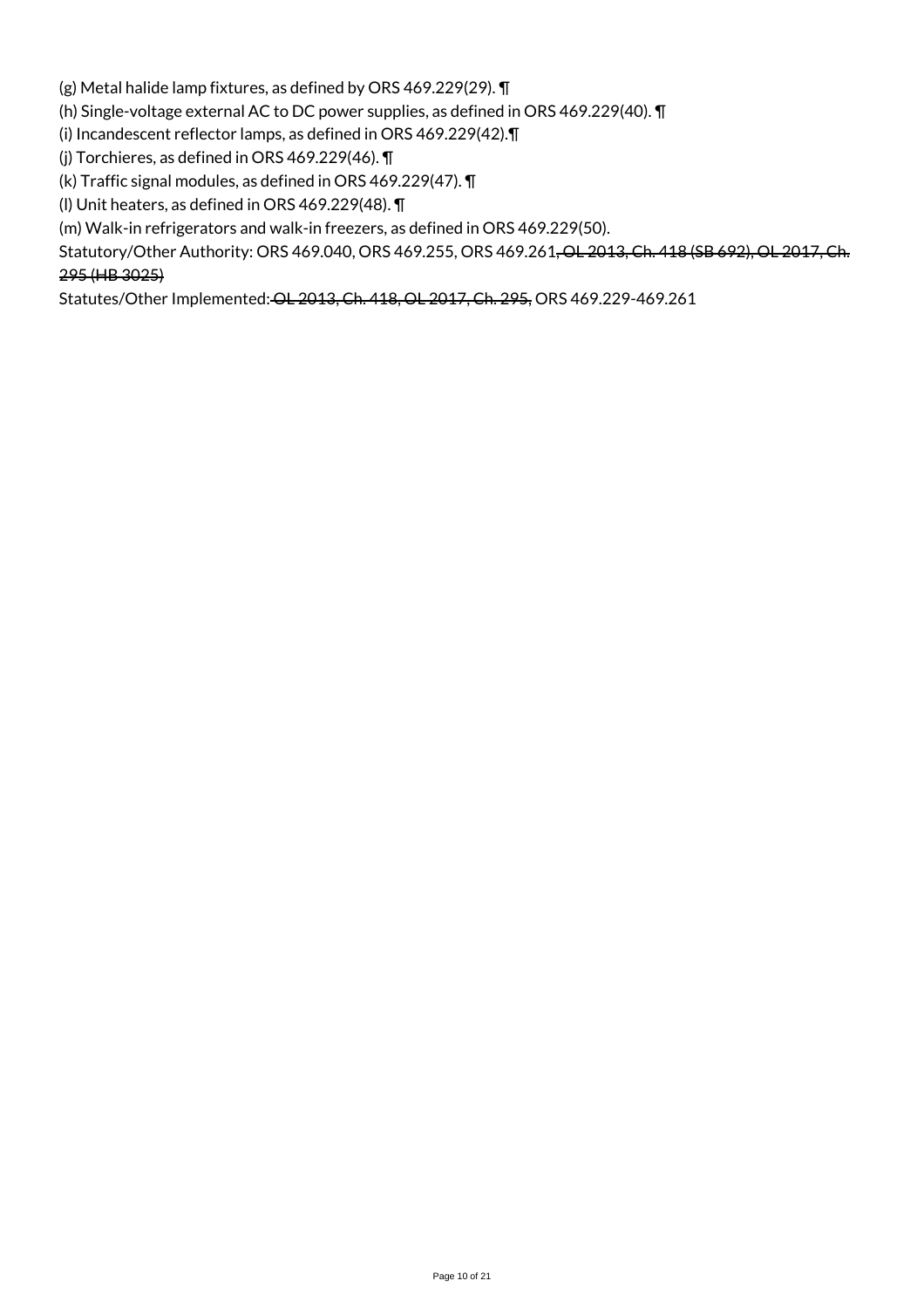(g) Metal halide lamp fixtures, as defined by ORS 469.229(29). ¶

(h) Single-voltage external AC to DC power supplies, as defined in ORS 469.229(40). ¶

(i) Incandescent reflector lamps, as defined in ORS 469.229(42).¶

(j) Torchieres, as defined in ORS 469.229(46). ¶

(k) Traffic signal modules, as defined in ORS 469.229(47). ¶

(l) Unit heaters, as defined in ORS 469.229(48). ¶

(m) Walk-in refrigerators and walk-in freezers, as defined in ORS 469.229(50).

Statutory/Other Authority: ORS 469.040, ORS 469.255, ORS 469.261, OL 2013, Ch. 418 (SB 692), OL 2017, Ch. 295 (HB 3025)

Statutes/Other Implemented: OL 2013, Ch. 418, OL 2017, Ch. 295, ORS 469.229-469.261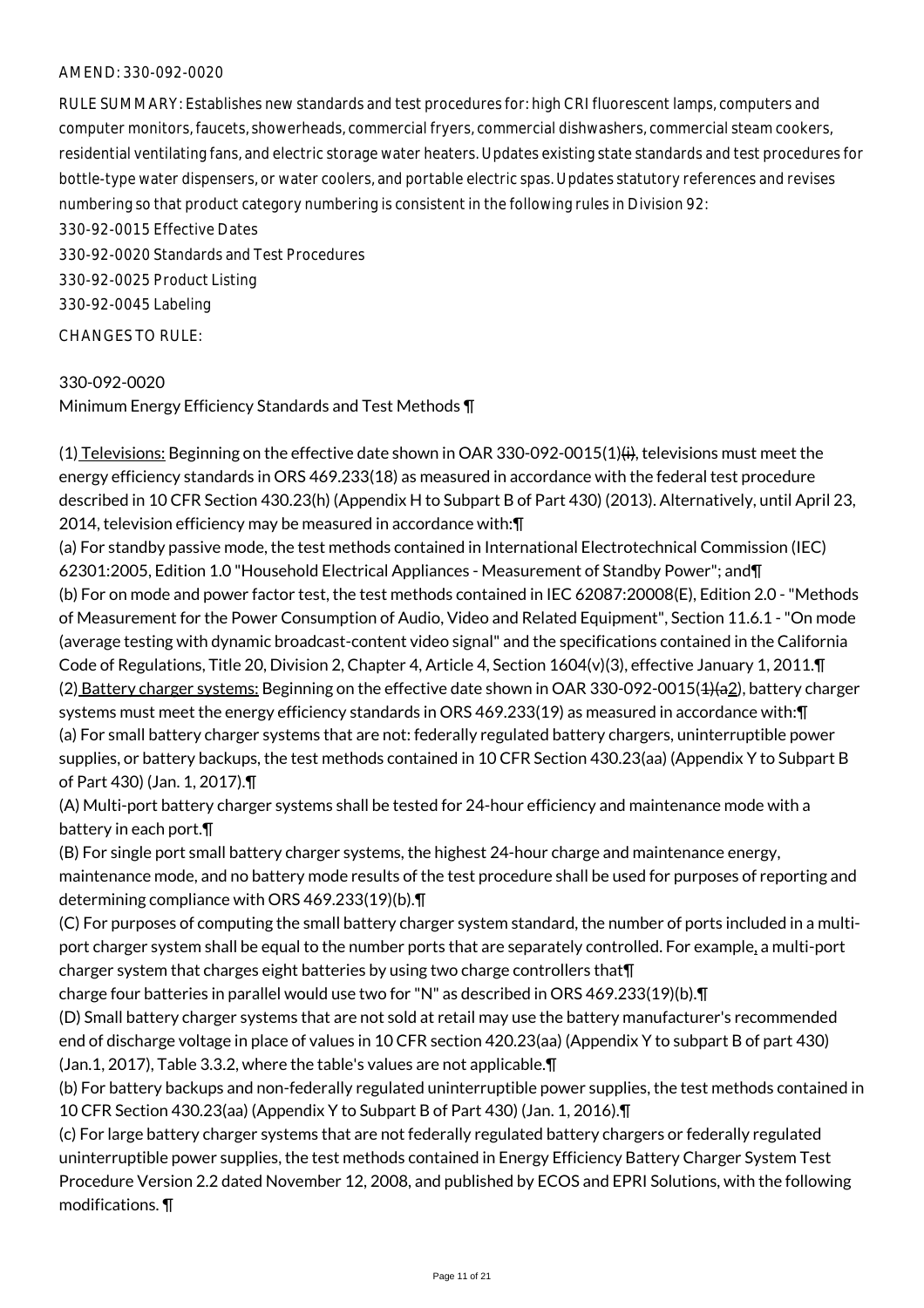RULE SUMMARY: Establishes new standards and test procedures for: high CRI fluorescent lamps, computers and computer monitors, faucets, showerheads, commercial fryers, commercial dishwashers, commercial steam cookers, residential ventilating fans, and electric storage water heaters. Updates existing state standards and test procedures for bottle-type water dispensers, or water coolers, and portable electric spas. Updates statutory references and revises numbering so that product category numbering is consistent in the following rules in Division 92:

330-92-0015 Effective Dates 330-92-0020 Standards and Test Procedures 330-92-0025 Product Listing 330-92-0045 Labeling CHANGES TO RULE:

330-092-0020 Minimum Energy Efficiency Standards and Test Methods ¶

 $(1)$  Televisions: Beginning on the effective date shown in OAR 330-092-0015(1) $(i)$ , televisions must meet the energy efficiency standards in ORS 469.233(18) as measured in accordance with the federal test procedure described in 10 CFR Section 430.23(h) (Appendix H to Subpart B of Part 430) (2013). Alternatively, until April 23, 2014, television efficiency may be measured in accordance with:¶

(a) For standby passive mode, the test methods contained in International Electrotechnical Commission (IEC) 62301:2005, Edition 1.0 "Household Electrical Appliances - Measurement of Standby Power"; and¶ (b) For on mode and power factor test, the test methods contained in IEC 62087:20008(E), Edition 2.0 - "Methods of Measurement for the Power Consumption of Audio, Video and Related Equipment", Section 11.6.1 - "On mode (average testing with dynamic broadcast-content video signal" and the specifications contained in the California Code of Regulations, Title 20, Division 2, Chapter 4, Article 4, Section 1604(v)(3), effective January 1, 2011.¶ (2) Battery charger systems: Beginning on the effective date shown in OAR 330-092-0015(4)(a2), battery charger systems must meet the energy efficiency standards in ORS 469.233(19) as measured in accordance with:¶ (a) For small battery charger systems that are not: federally regulated battery chargers, uninterruptible power supplies, or battery backups, the test methods contained in 10 CFR Section 430.23(aa) (Appendix Y to Subpart B of Part 430) (Jan. 1, 2017).¶

(A) Multi-port battery charger systems shall be tested for 24-hour efficiency and maintenance mode with a battery in each port.¶

(B) For single port small battery charger systems, the highest 24-hour charge and maintenance energy, maintenance mode, and no battery mode results of the test procedure shall be used for purposes of reporting and determining compliance with ORS 469.233(19)(b).¶

(C) For purposes of computing the small battery charger system standard, the number of ports included in a multiport charger system shall be equal to the number ports that are separately controlled. For example, a multi-port charger system that charges eight batteries by using two charge controllers that¶

charge four batteries in parallel would use two for "N" as described in ORS 469.233(19)(b).¶

(D) Small battery charger systems that are not sold at retail may use the battery manufacturer's recommended end of discharge voltage in place of values in 10 CFR section 420.23(aa) (Appendix Y to subpart B of part 430) (Jan.1, 2017), Table 3.3.2, where the table's values are not applicable.¶

(b) For battery backups and non-federally regulated uninterruptible power supplies, the test methods contained in 10 CFR Section 430.23(aa) (Appendix Y to Subpart B of Part 430) (Jan. 1, 2016).¶

(c) For large battery charger systems that are not federally regulated battery chargers or federally regulated uninterruptible power supplies, the test methods contained in Energy Efficiency Battery Charger System Test Procedure Version 2.2 dated November 12, 2008, and published by ECOS and EPRI Solutions, with the following modifications. ¶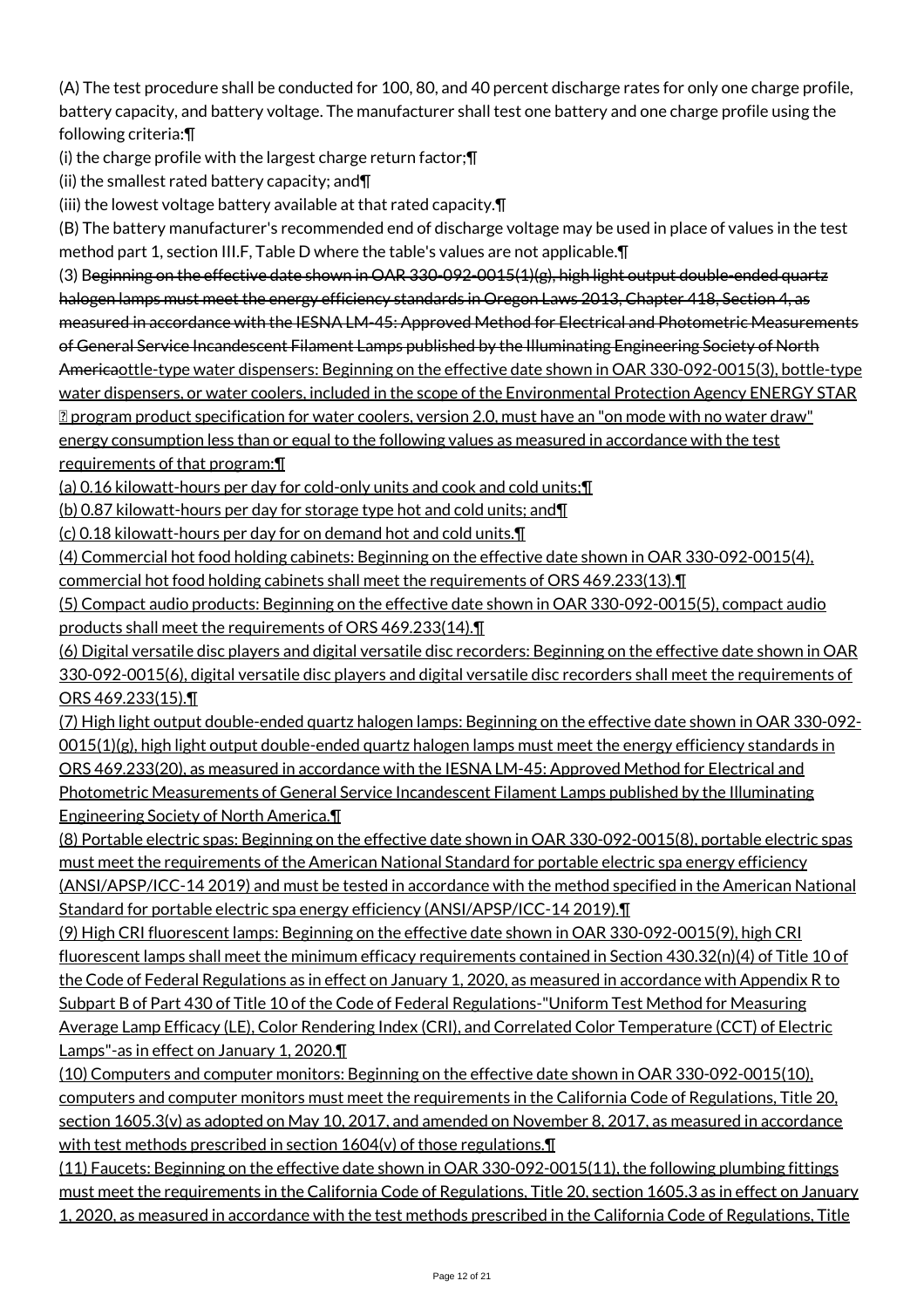(A) The test procedure shall be conducted for 100, 80, and 40 percent discharge rates for only one charge profile, battery capacity, and battery voltage. The manufacturer shall test one battery and one charge profile using the following criteria:¶

(i) the charge profile with the largest charge return factor;¶

(ii) the smallest rated battery capacity; and¶

(iii) the lowest voltage battery available at that rated capacity.¶

(B) The battery manufacturer's recommended end of discharge voltage may be used in place of values in the test method part 1, section III.F, Table D where the table's values are not applicable.¶

(3) Beginning on the effective date shown in OAR 330-092-0015(1)(g), high light output double-ended quartz halogen lamps must meet the energy efficiency standards in Oregon Laws 2013, Chapter 418, Section 4, as measured in accordance with the IESNA LM-45: Approved Method for Electrical and Photometric Measurements of General Service Incandescent Filament Lamps published by the Illuminating Engineering Society of North Americaottle-type water dispensers: Beginning on the effective date shown in OAR 330-092-0015(3), bottle-type water dispensers, or water coolers, included in the scope of the Environmental Protection Agency ENERGY STAR program product specification for water coolers, version 2.0, must have an "on mode with no water draw" energy consumption less than or equal to the following values as measured in accordance with the test requirements of that program:¶

(a) 0.16 kilowatt-hours per day for cold-only units and cook and cold units;¶

(b) 0.87 kilowatt-hours per day for storage type hot and cold units; and¶

(c) 0.18 kilowatt-hours per day for on demand hot and cold units.¶

(4) Commercial hot food holding cabinets: Beginning on the effective date shown in OAR 330-092-0015(4), commercial hot food holding cabinets shall meet the requirements of ORS 469.233(13).¶

(5) Compact audio products: Beginning on the effective date shown in OAR 330-092-0015(5), compact audio products shall meet the requirements of ORS 469.233(14).¶

(6) Digital versatile disc players and digital versatile disc recorders: Beginning on the effective date shown in OAR 330-092-0015(6), digital versatile disc players and digital versatile disc recorders shall meet the requirements of ORS 469.233(15).¶

(7) High light output double-ended quartz halogen lamps: Beginning on the effective date shown in OAR 330-092- 0015(1)(g), high light output double-ended quartz halogen lamps must meet the energy efficiency standards in ORS 469.233(20), as measured in accordance with the IESNA LM-45: Approved Method for Electrical and Photometric Measurements of General Service Incandescent Filament Lamps published by the Illuminating Engineering Society of North America.¶

(8) Portable electric spas: Beginning on the effective date shown in OAR 330-092-0015(8), portable electric spas must meet the requirements of the American National Standard for portable electric spa energy efficiency (ANSI/APSP/ICC-14 2019) and must be tested in accordance with the method specified in the American National Standard for portable electric spa energy efficiency (ANSI/APSP/ICC-14 2019).¶

(9) High CRI fluorescent lamps: Beginning on the effective date shown in OAR 330-092-0015(9), high CRI fluorescent lamps shall meet the minimum efficacy requirements contained in Section 430.32(n)(4) of Title 10 of the Code of Federal Regulations as in effect on January 1, 2020, as measured in accordance with Appendix R to Subpart B of Part 430 of Title 10 of the Code of Federal Regulations-"Uniform Test Method for Measuring Average Lamp Efficacy (LE), Color Rendering Index (CRI), and Correlated Color Temperature (CCT) of Electric Lamps"-as in effect on January 1, 2020.¶

(10) Computers and computer monitors: Beginning on the effective date shown in OAR 330-092-0015(10), computers and computer monitors must meet the requirements in the California Code of Regulations, Title 20, section 1605.3(v) as adopted on May 10, 2017, and amended on November 8, 2017, as measured in accordance with test methods prescribed in section 1604(v) of those regulations.

(11) Faucets: Beginning on the effective date shown in OAR 330-092-0015(11), the following plumbing fittings must meet the requirements in the California Code of Regulations, Title 20, section 1605.3 as in effect on January 1, 2020, as measured in accordance with the test methods prescribed in the California Code of Regulations, Title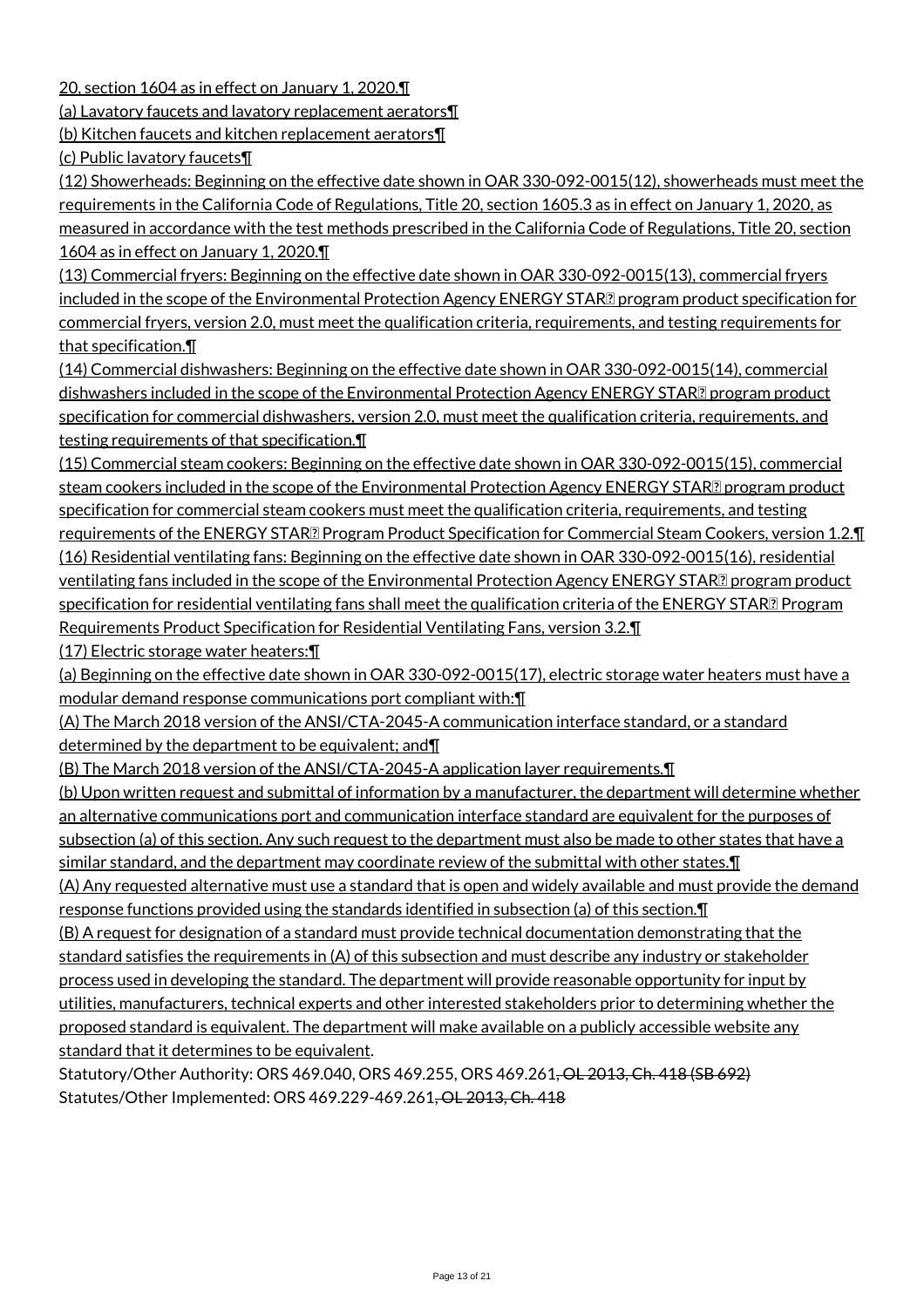20, section 1604 as in effect on January 1, 2020.¶

(a) Lavatory faucets and lavatory replacement aerators¶

(b) Kitchen faucets and kitchen replacement aerators¶

(c) Public lavatory faucets¶

(12) Showerheads: Beginning on the effective date shown in OAR 330-092-0015(12), showerheads must meet the requirements in the California Code of Regulations, Title 20, section 1605.3 as in effect on January 1, 2020, as measured in accordance with the test methods prescribed in the California Code of Regulations, Title 20, section 1604 as in effect on January 1, 2020.¶

(13) Commercial fryers: Beginning on the effective date shown in OAR 330-092-0015(13), commercial fryers included in the scope of the Environmental Protection Agency ENERGY STAR<sup>®</sup> program product specification for commercial fryers, version 2.0, must meet the qualification criteria, requirements, and testing requirements for that specification.¶

(14) Commercial dishwashers: Beginning on the effective date shown in OAR 330-092-0015(14), commercial dishwashers included in the scope of the Environmental Protection Agency ENERGY STAR<sup>[2]</sup> program product specification for commercial dishwashers, version 2.0, must meet the qualification criteria, requirements, and testing requirements of that specification.¶

(15) Commercial steam cookers: Beginning on the effective date shown in OAR 330-092-0015(15), commercial steam cookers included in the scope of the Environmental Protection Agency ENERGY STAR**Z** program product specification for commercial steam cookers must meet the qualification criteria, requirements, and testing requirements of the ENERGY STAR<sup>®</sup> Program Product Specification for Commercial Steam Cookers, version 1.2.¶ (16) Residential ventilating fans: Beginning on the effective date shown in OAR 330-092-0015(16), residential ventilating fans included in the scope of the Environmental Protection Agency ENERGY STAR<sup>[2]</sup> program product specification for residential ventilating fans shall meet the qualification criteria of the ENERGY STAR Program Requirements Product Specification for Residential Ventilating Fans, version 3.2.¶

(17) Electric storage water heaters:¶

(a) Beginning on the effective date shown in OAR 330-092-0015(17), electric storage water heaters must have a modular demand response communications port compliant with:¶

(A) The March 2018 version of the ANSI/CTA-2045-A communication interface standard, or a standard determined by the department to be equivalent; and¶

(B) The March 2018 version of the ANSI/CTA-2045-A application layer requirements.¶

(b) Upon written request and submittal of information by a manufacturer, the department will determine whether an alternative communications port and communication interface standard are equivalent for the purposes of subsection (a) of this section. Any such request to the department must also be made to other states that have a similar standard, and the department may coordinate review of the submittal with other states. I

(A) Any requested alternative must use a standard that is open and widely available and must provide the demand response functions provided using the standards identified in subsection (a) of this section.¶

(B) A request for designation of a standard must provide technical documentation demonstrating that the standard satisfies the requirements in (A) of this subsection and must describe any industry or stakeholder process used in developing the standard. The department will provide reasonable opportunity for input by utilities, manufacturers, technical experts and other interested stakeholders prior to determining whether the proposed standard is equivalent. The department will make available on a publicly accessible website any standard that it determines to be equivalent.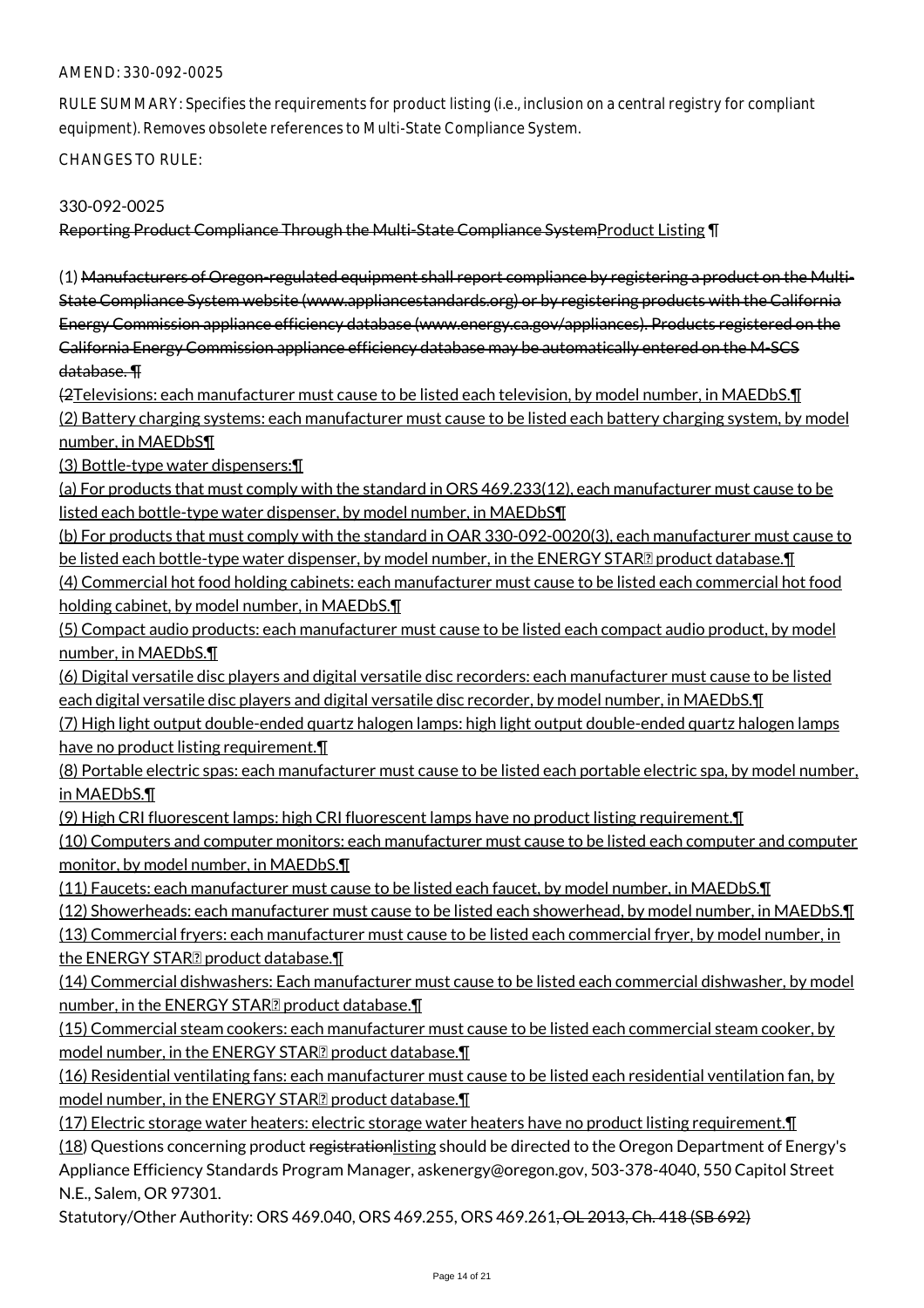RULE SUMMARY: Specifies the requirements for product listing (i.e., inclusion on a central registry for compliant equipment). Removes obsolete references to Multi-State Compliance System.

CHANGES TO RULE:

## 330-092-0025

Reporting Product Compliance Through the Multi-State Compliance SystemProduct Listing ¶

(1) Manufacturers of Oregon-regulated equipment shall report compliance by registering a product on the Multi-State Compliance System website (www.appliancestandards.org) or by registering products with the California Energy Commission appliance efficiency database (www.energy.ca.gov/appliances). Products registered on the California Energy Commission appliance efficiency database may be automatically entered on the M-SCS database. ¶

(2Televisions: each manufacturer must cause to be listed each television, by model number, in MAEDbS.¶ (2) Battery charging systems: each manufacturer must cause to be listed each battery charging system, by model

number, in MAEDbS¶ (3) Bottle-type water dispensers:¶

(a) For products that must comply with the standard in ORS 469.233(12), each manufacturer must cause to be listed each bottle-type water dispenser, by model number, in MAEDbS¶

(b) For products that must comply with the standard in OAR 330-092-0020(3), each manufacturer must cause to be listed each bottle-type water dispenser, by model number, in the ENERGY STAR**D** product database. [1]

(4) Commercial hot food holding cabinets: each manufacturer must cause to be listed each commercial hot food holding cabinet, by model number, in MAEDbS.¶

(5) Compact audio products: each manufacturer must cause to be listed each compact audio product, by model number, in MAEDbS.¶

(6) Digital versatile disc players and digital versatile disc recorders: each manufacturer must cause to be listed each digital versatile disc players and digital versatile disc recorder, by model number, in MAEDbS.¶

(7) High light output double-ended quartz halogen lamps: high light output double-ended quartz halogen lamps have no product listing requirement.¶

(8) Portable electric spas: each manufacturer must cause to be listed each portable electric spa, by model number, in MAEDbS.¶

(9) High CRI fluorescent lamps: high CRI fluorescent lamps have no product listing requirement.¶

(10) Computers and computer monitors: each manufacturer must cause to be listed each computer and computer monitor, by model number, in MAEDbS.¶

(11) Faucets: each manufacturer must cause to be listed each faucet, by model number, in MAEDbS.¶

(12) Showerheads: each manufacturer must cause to be listed each showerhead, by model number, in MAEDbS.¶

(13) Commercial fryers: each manufacturer must cause to be listed each commercial fryer, by model number, in the ENERGY STAR $\mathbb P$  product database. $\P$ 

(14) Commercial dishwashers: Each manufacturer must cause to be listed each commercial dishwasher, by model number, in the ENERGY STAR<sup>?</sup> product database.

(15) Commercial steam cookers: each manufacturer must cause to be listed each commercial steam cooker, by model number, in the ENERGY STAR $\mathbb Z$  product database. $\P$ 

(16) Residential ventilating fans: each manufacturer must cause to be listed each residential ventilation fan, by model number, in the ENERGY STAR $\mathbb Z$  product database. $\P$ 

(17) Electric storage water heaters: electric storage water heaters have no product listing requirement.¶

(18) Questions concerning product registrationlisting should be directed to the Oregon Department of Energy's Appliance Efficiency Standards Program Manager, askenergy@oregon.gov, 503-378-4040, 550 Capitol Street N.E., Salem, OR 97301.

Statutory/Other Authority: ORS 469.040, ORS 469.255, ORS 469.261<del>, OL 2013, Ch. 418 (SB 692)</del>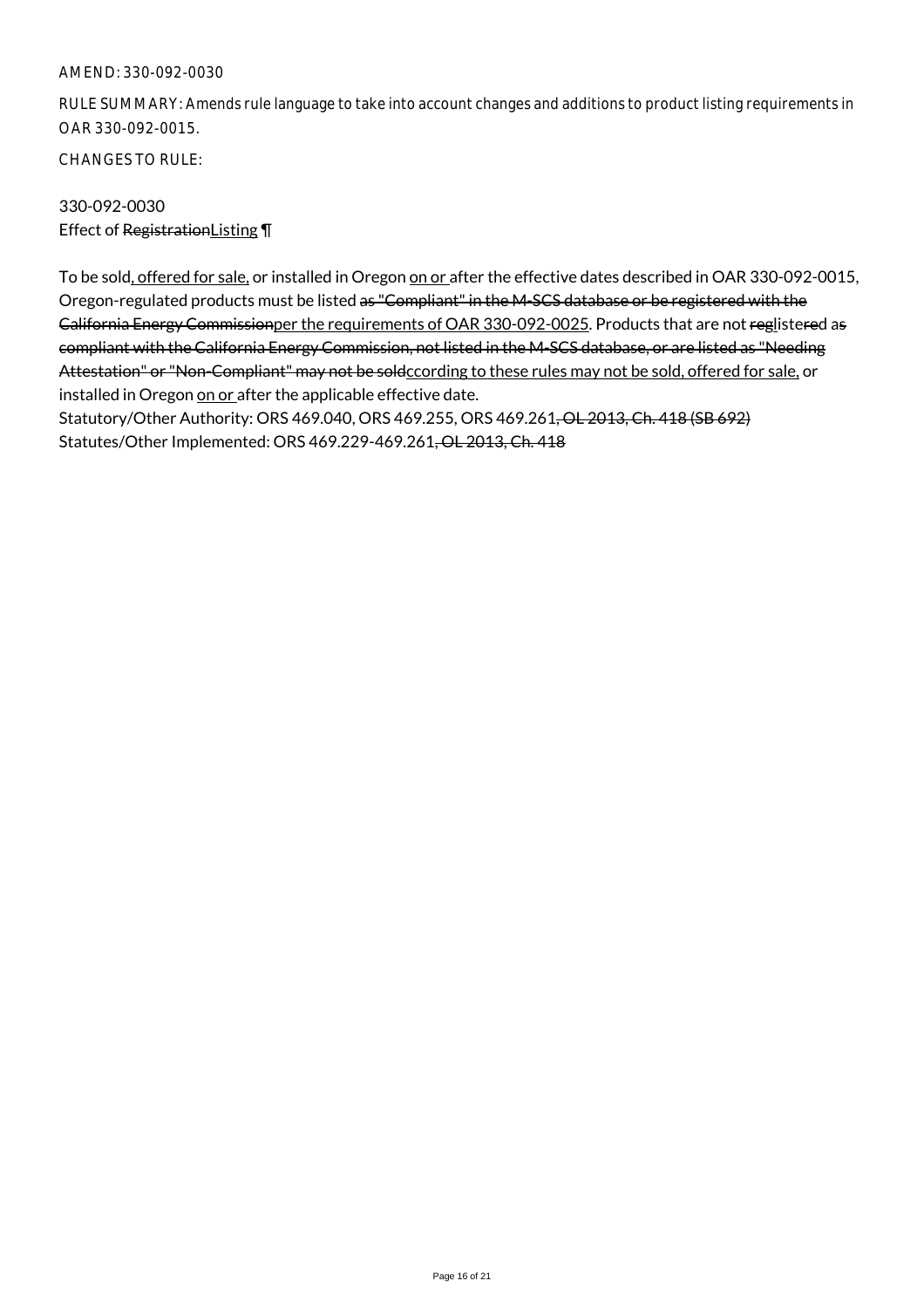RULE SUMMARY: Amends rule language to take into account changes and additions to product listing requirements in OAR 330-092-0015.

CHANGES TO RULE:

# 330-092-0030 Effect of RegistrationListing ¶

To be sold, offered for sale, or installed in Oregon on or after the effective dates described in OAR 330-092-0015, Oregon-regulated products must be listed as "Compliant" in the M-SCS database or be registered with the California Energy Commissionper the requirements of OAR 330-092-0025. Products that are not reglistered as compliant with the California Energy Commission, not listed in the M-SCS database, or are listed as "Needing Attestation" or "Non-Compliant" may not be soldccording to these rules may not be sold, offered for sale, or installed in Oregon on or after the applicable effective date.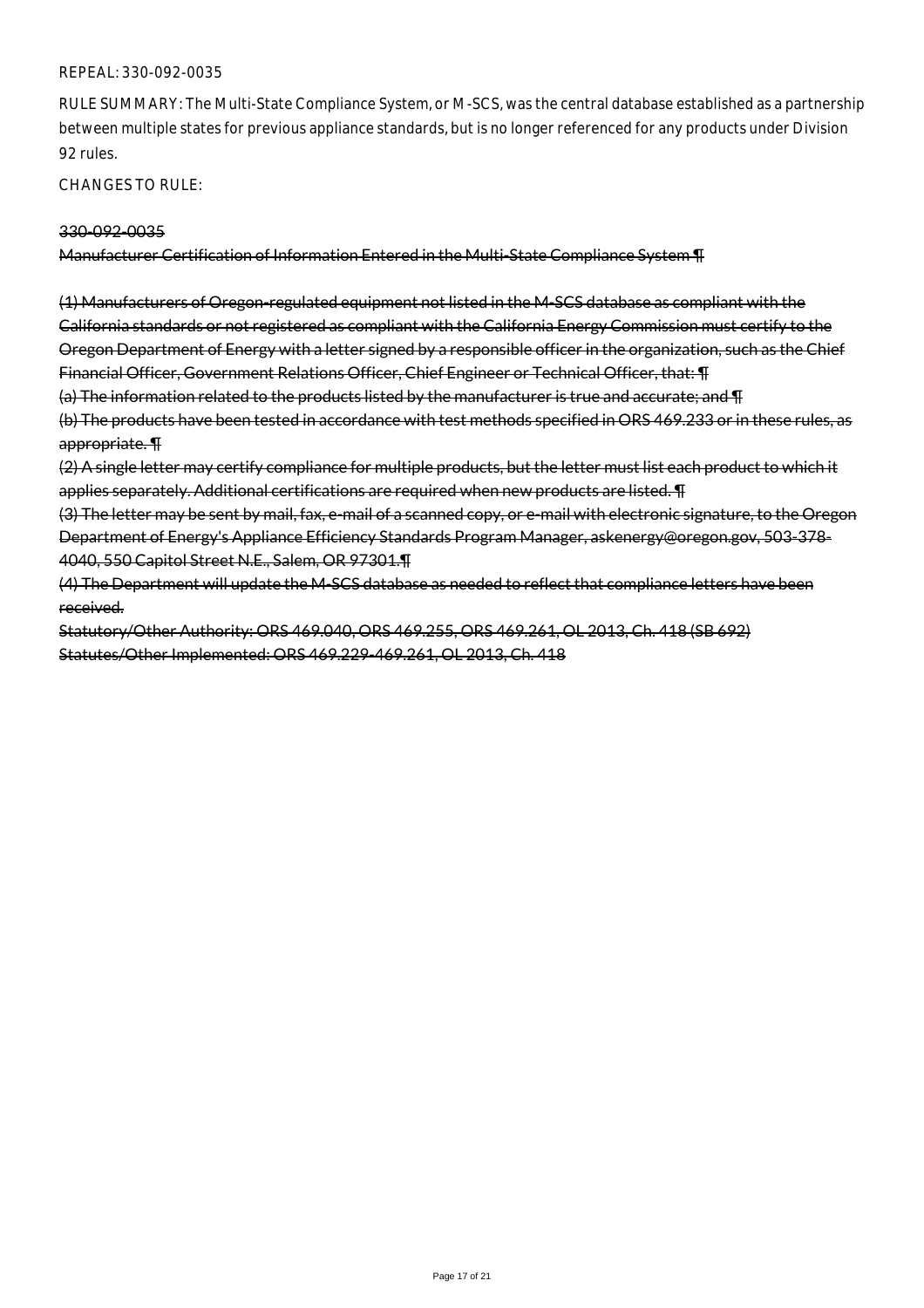#### REPEAL: 330-092-0035

RULE SUMMARY: The Multi-State Compliance System, or M-SCS, was the central database established as a partnership between multiple states for previous appliance standards, but is no longer referenced for any products under Division 92 rules.

CHANGES TO RULE:

#### 330-092-0035

Manufacturer Certification of Information Entered in the Multi-State Compliance System ¶

(1) Manufacturers of Oregon-regulated equipment not listed in the M-SCS database as compliant with the California standards or not registered as compliant with the California Energy Commission must certify to the Oregon Department of Energy with a letter signed by a responsible officer in the organization, such as the Chief Financial Officer, Government Relations Officer, Chief Engineer or Technical Officer, that: ¶ (a) The information related to the products listed by the manufacturer is true and accurate; and ¶ (b) The products have been tested in accordance with test methods specified in ORS 469.233 or in these rules, as appropriate. ¶

(2) A single letter may certify compliance for multiple products, but the letter must list each product to which it applies separately. Additional certifications are required when new products are listed. ¶

(3) The letter may be sent by mail, fax, e-mail of a scanned copy, or e-mail with electronic signature, to the Oregon Department of Energy's Appliance Efficiency Standards Program Manager, askenergy@oregon.gov, 503-378- 4040, 550 Capitol Street N.E., Salem, OR 97301.¶

(4) The Department will update the M-SCS database as needed to reflect that compliance letters have been received.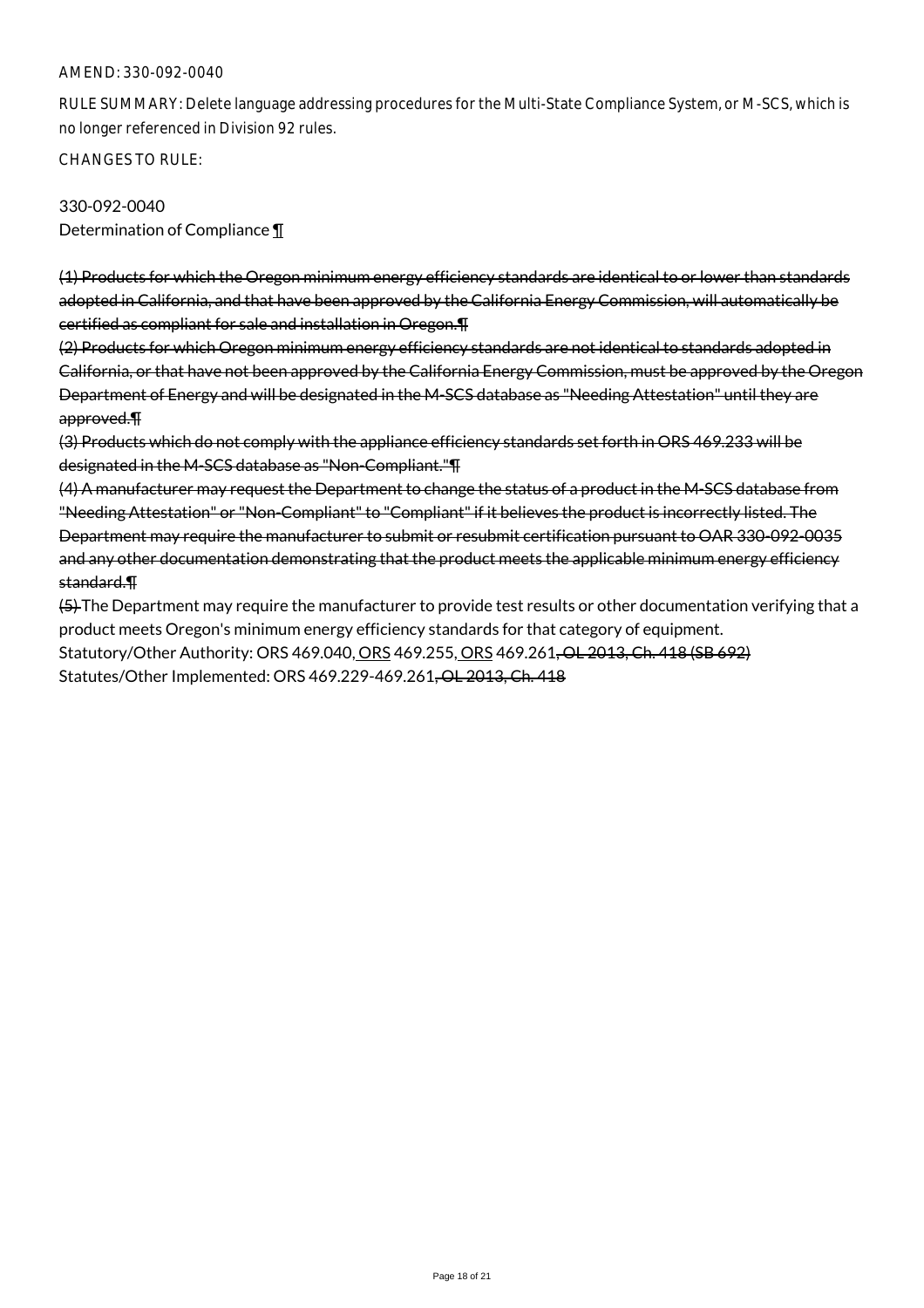RULE SUMMARY: Delete language addressing procedures for the Multi-State Compliance System, or M-SCS, which is no longer referenced in Division 92 rules.

CHANGES TO RULE:

330-092-0040 Determination of Compliance ¶

(1) Products for which the Oregon minimum energy efficiency standards are identical to or lower than standards adopted in California, and that have been approved by the California Energy Commission, will automatically be certified as compliant for sale and installation in Oregon.¶

(2) Products for which Oregon minimum energy efficiency standards are not identical to standards adopted in California, or that have not been approved by the California Energy Commission, must be approved by the Oregon Department of Energy and will be designated in the M-SCS database as "Needing Attestation" until they are approved.¶

(3) Products which do not comply with the appliance efficiency standards set forth in ORS 469.233 will be designated in the M-SCS database as "Non-Compliant."¶

(4) A manufacturer may request the Department to change the status of a product in the M-SCS database from "Needing Attestation" or "Non-Compliant" to "Compliant" if it believes the product is incorrectly listed. The Department may require the manufacturer to submit or resubmit certification pursuant to OAR 330-092-0035 and any other documentation demonstrating that the product meets the applicable minimum energy efficiency standard.¶

(5) The Department may require the manufacturer to provide test results or other documentation verifying that a product meets Oregon's minimum energy efficiency standards for that category of equipment. Statutory/Other Authority: ORS 469.040, ORS 469.255, ORS 469.261, OL 2013, Ch. 418 (SB 692) Statutes/Other Implemented: ORS 469.229-469.261, OL 2013, Ch. 418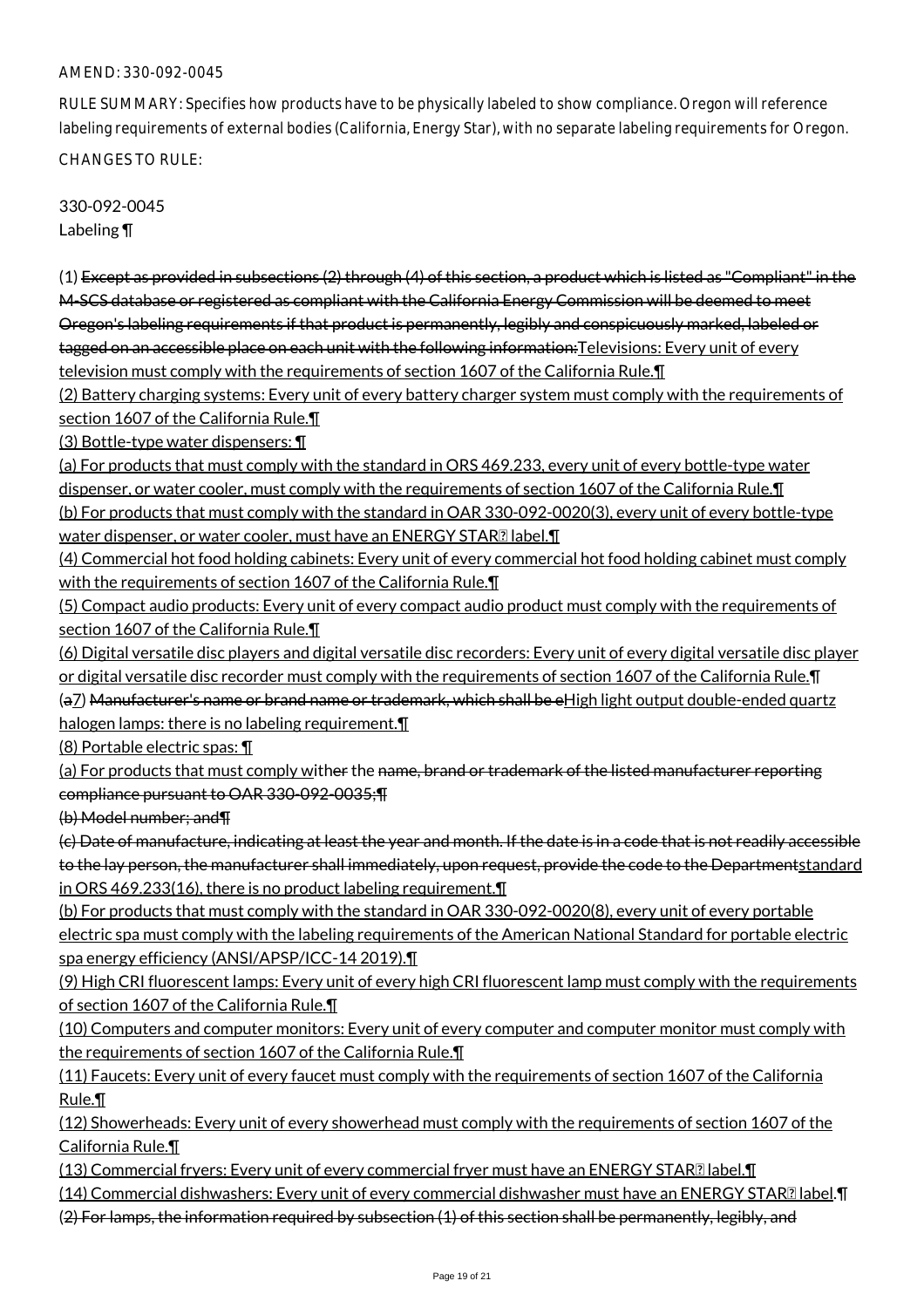RULE SUMMARY: Specifies how products have to be physically labeled to show compliance. Oregon will reference labeling requirements of external bodies (California, Energy Star), with no separate labeling requirements for Oregon. CHANGES TO RULE:

330-092-0045 Labeling ¶

(1) Except as provided in subsections (2) through (4) of this section, a product which is listed as "Compliant" in the M-SCS database or registered as compliant with the California Energy Commission will be deemed to meet Oregon's labeling requirements if that product is permanently, legibly and conspicuously marked, labeled or tagged on an accessible place on each unit with the following information: Televisions: Every unit of every television must comply with the requirements of section 1607 of the California Rule.¶

(2) Battery charging systems: Every unit of every battery charger system must comply with the requirements of section 1607 of the California Rule.¶

(3) Bottle-type water dispensers: ¶

(a) For products that must comply with the standard in ORS 469.233, every unit of every bottle-type water dispenser, or water cooler, must comply with the requirements of section 1607 of the California Rule.¶ (b) For products that must comply with the standard in OAR 330-092-0020(3), every unit of every bottle-type water dispenser, or water cooler, must have an ENERGY STAR**D** label. T

(4) Commercial hot food holding cabinets: Every unit of every commercial hot food holding cabinet must comply with the requirements of section 1607 of the California Rule. II

(5) Compact audio products: Every unit of every compact audio product must comply with the requirements of section 1607 of the California Rule.

(6) Digital versatile disc players and digital versatile disc recorders: Every unit of every digital versatile disc player or digital versatile disc recorder must comply with the requirements of section 1607 of the California Rule.¶ (a7) Manufacturer's name or brand name or trademark, which shall be eHigh light output double-ended quartz

halogen lamps: there is no labeling requirement.

(8) Portable electric spas: ¶

(a) For products that must comply wither the name, brand or trademark of the listed manufacturer reporting compliance pursuant to OAR 330-092-0035;¶

(b) Model number; and¶

(c) Date of manufacture, indicating at least the year and month. If the date is in a code that is not readily accessible to the lay person, the manufacturer shall immediately, upon request, provide the code to the Departmentstandard in ORS 469.233(16), there is no product labeling requirement.¶

(b) For products that must comply with the standard in OAR 330-092-0020(8), every unit of every portable electric spa must comply with the labeling requirements of the American National Standard for portable electric spa energy efficiency (ANSI/APSP/ICC-14 2019).¶

(9) High CRI fluorescent lamps: Every unit of every high CRI fluorescent lamp must comply with the requirements of section 1607 of the California Rule.¶

(10) Computers and computer monitors: Every unit of every computer and computer monitor must comply with the requirements of section 1607 of the California Rule.¶

(11) Faucets: Every unit of every faucet must comply with the requirements of section 1607 of the California Rule.¶

(12) Showerheads: Every unit of every showerhead must comply with the requirements of section 1607 of the California Rule.¶

 $(13)$  Commercial fryers: Every unit of every commercial fryer must have an ENERGY STAR $\Omega$  label. $\P$ 

(14) Commercial dishwashers: Every unit of every commercial dishwasher must have an ENERGY STAR albel. T

(2) For lamps, the information required by subsection (1) of this section shall be permanently, legibly, and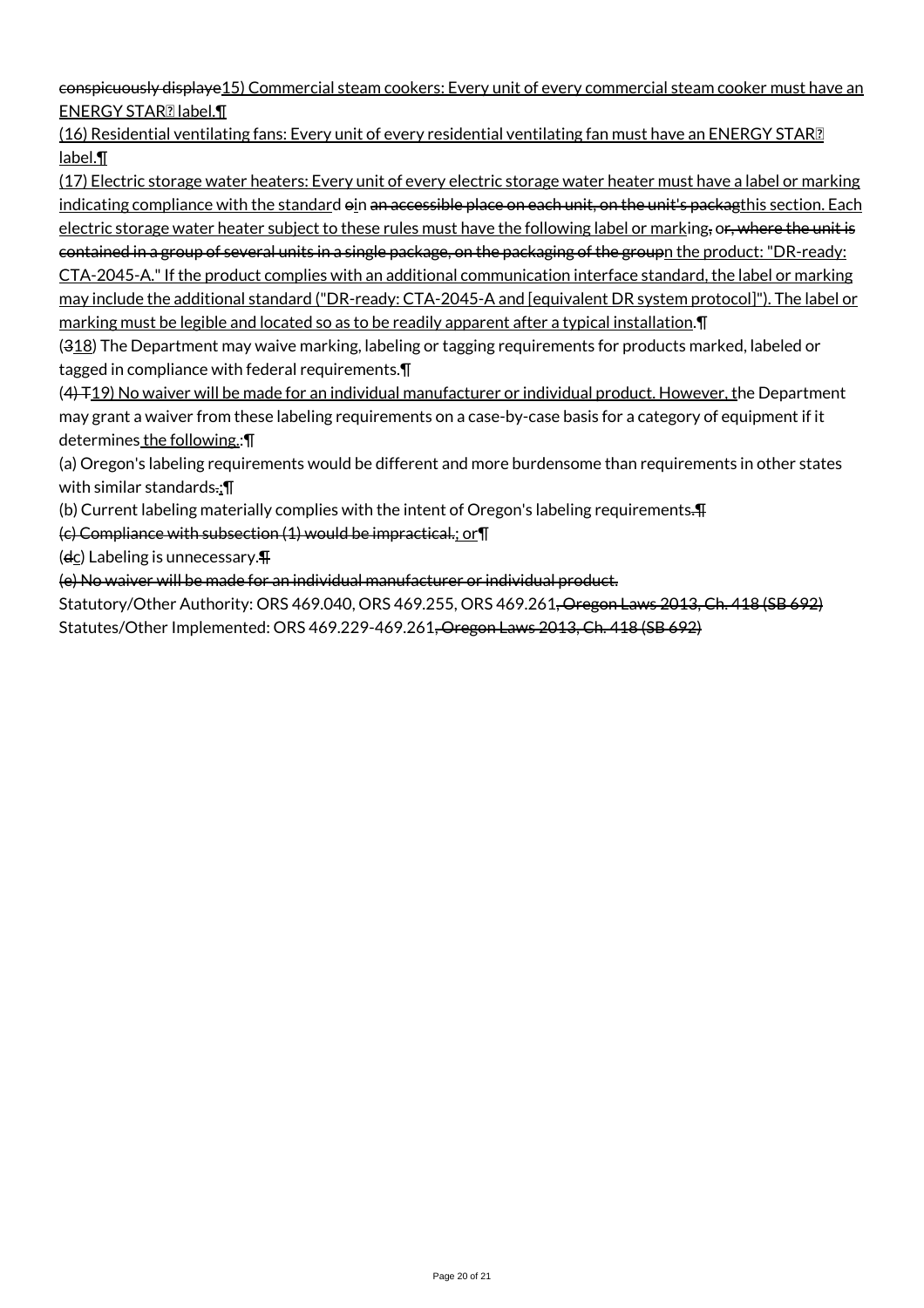conspicuously displaye15) Commercial steam cookers: Every unit of every commercial steam cooker must have an ENERGY STAR<sup>[2]</sup> label.

(16) Residential ventilating fans: Every unit of every residential ventilating fan must have an ENERGY STAR label.¶

(17) Electric storage water heaters: Every unit of every electric storage water heater must have a label or marking indicating compliance with the standard oin an accessible place on each unit, on the unit's packagthis section. Each electric storage water heater subject to these rules must have the following label or marking, or, where the unit is contained in a group of several units in a single package, on the packaging of the groupn the product: "DR-ready: CTA-2045-A." If the product complies with an additional communication interface standard, the label or marking may include the additional standard ("DR-ready: CTA-2045-A and [equivalent DR system protocol]"). The label or marking must be legible and located so as to be readily apparent after a typical installation.¶

(318) The Department may waive marking, labeling or tagging requirements for products marked, labeled or tagged in compliance with federal requirements.¶

 $(4)$  T19) No waiver will be made for an individual manufacturer or individual product. However, the Department may grant a waiver from these labeling requirements on a case-by-case basis for a category of equipment if it determines the following.: ¶

(a) Oregon's labeling requirements would be different and more burdensome than requirements in other states with similar standards.;¶

(b) Current labeling materially complies with the intent of Oregon's labeling requirements.¶

(c) Compliance with subsection (1) would be impractical.; or¶

 $(d<sub>C</sub>)$  Labeling is unnecessary. $\P$ 

(e) No waiver will be made for an individual manufacturer or individual product.